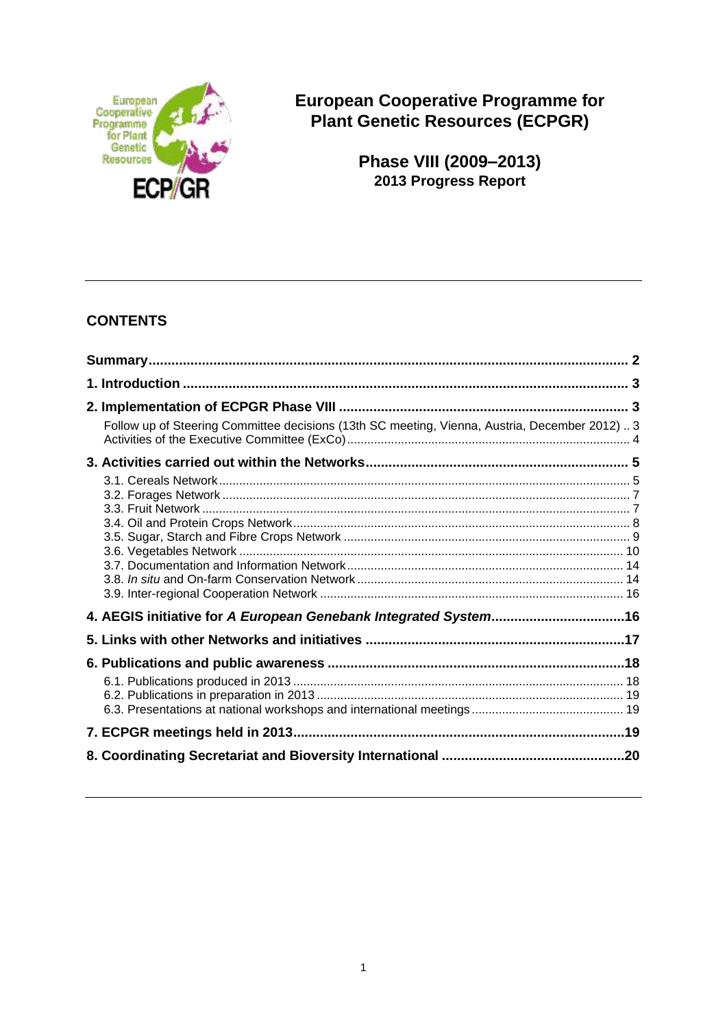

**European Cooperative Programme for Plant Genetic Resources (ECPGR)**

> **Phase VIII (2009–2013) 2013 Progress Report**

# **CONTENTS**

| Follow up of Steering Committee decisions (13th SC meeting, Vienna, Austria, December 2012)3 |  |
|----------------------------------------------------------------------------------------------|--|
|                                                                                              |  |
|                                                                                              |  |
|                                                                                              |  |
| 4. AEGIS initiative for A European Genebank Integrated System16                              |  |
|                                                                                              |  |
|                                                                                              |  |
|                                                                                              |  |
|                                                                                              |  |
|                                                                                              |  |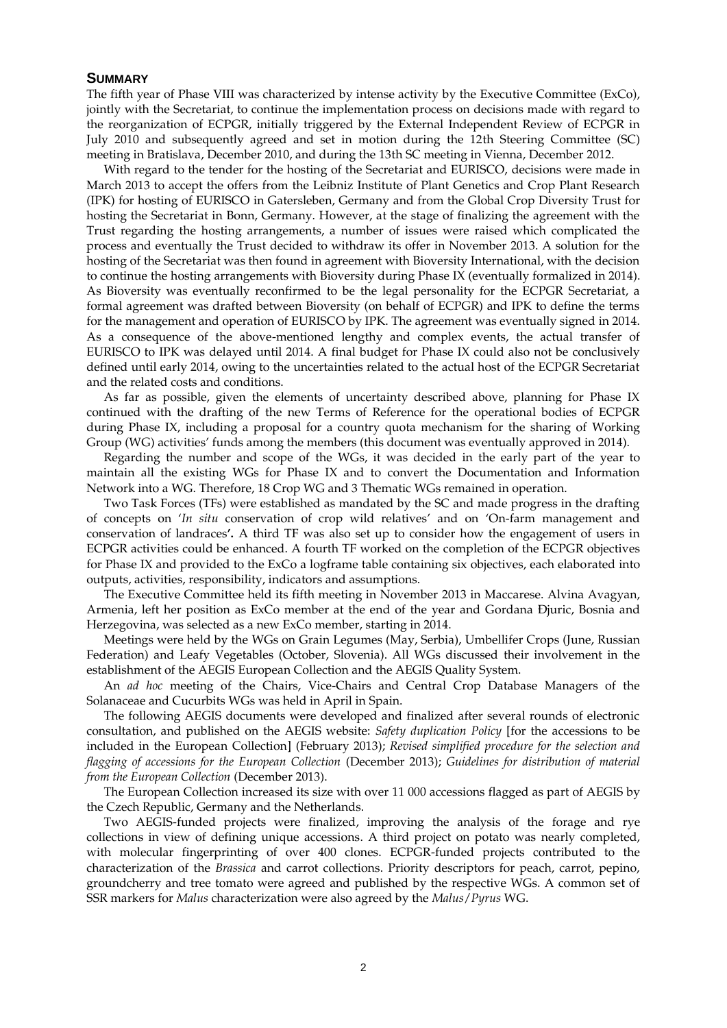#### **SUMMARY**

The fifth year of Phase VIII was characterized by intense activity by the Executive Committee (ExCo), jointly with the Secretariat, to continue the implementation process on decisions made with regard to the reorganization of ECPGR, initially triggered by the External Independent Review of ECPGR in July 2010 and subsequently agreed and set in motion during the 12th Steering Committee (SC) meeting in Bratislava, December 2010, and during the 13th SC meeting in Vienna, December 2012.

With regard to the tender for the hosting of the Secretariat and EURISCO, decisions were made in March 2013 to accept the offers from the Leibniz Institute of Plant Genetics and Crop Plant Research (IPK) for hosting of EURISCO in Gatersleben, Germany and from the Global Crop Diversity Trust for hosting the Secretariat in Bonn, Germany. However, at the stage of finalizing the agreement with the Trust regarding the hosting arrangements, a number of issues were raised which complicated the process and eventually the Trust decided to withdraw its offer in November 2013. A solution for the hosting of the Secretariat was then found in agreement with Bioversity International, with the decision to continue the hosting arrangements with Bioversity during Phase IX (eventually formalized in 2014). As Bioversity was eventually reconfirmed to be the legal personality for the ECPGR Secretariat, a formal agreement was drafted between Bioversity (on behalf of ECPGR) and IPK to define the terms for the management and operation of EURISCO by IPK. The agreement was eventually signed in 2014. As a consequence of the above-mentioned lengthy and complex events, the actual transfer of EURISCO to IPK was delayed until 2014. A final budget for Phase IX could also not be conclusively defined until early 2014, owing to the uncertainties related to the actual host of the ECPGR Secretariat and the related costs and conditions.

As far as possible, given the elements of uncertainty described above, planning for Phase IX continued with the drafting of the new Terms of Reference for the operational bodies of ECPGR during Phase IX, including a proposal for a country quota mechanism for the sharing of Working Group (WG) activities' funds among the members (this document was eventually approved in 2014).

Regarding the number and scope of the WGs, it was decided in the early part of the year to maintain all the existing WGs for Phase IX and to convert the Documentation and Information Network into a WG. Therefore, 18 Crop WG and 3 Thematic WGs remained in operation.

Two Task Forces (TFs) were established as mandated by the SC and made progress in the drafting of concepts on '*In situ* conservation of crop wild relatives' and on 'On-farm management and conservation of landraces**'.** A third TF was also set up to consider how the engagement of users in ECPGR activities could be enhanced. A fourth TF worked on the completion of the ECPGR objectives for Phase IX and provided to the ExCo a logframe table containing six objectives, each elaborated into outputs, activities, responsibility, indicators and assumptions.

The Executive Committee held its fifth meeting in November 2013 in Maccarese. Alvina Avagyan, Armenia, left her position as ExCo member at the end of the year and Gordana Đjuric, Bosnia and Herzegovina, was selected as a new ExCo member, starting in 2014.

Meetings were held by the WGs on Grain Legumes (May, Serbia), Umbellifer Crops (June, Russian Federation) and Leafy Vegetables (October, Slovenia). All WGs discussed their involvement in the establishment of the AEGIS European Collection and the AEGIS Quality System.

An *ad hoc* meeting of the Chairs, Vice-Chairs and Central Crop Database Managers of the Solanaceae and Cucurbits WGs was held in April in Spain.

The following AEGIS documents were developed and finalized after several rounds of electronic consultation, and published on the AEGIS website: *Safety duplication Policy* [for the accessions to be included in the European Collection] (February 2013); *Revised simplified procedure for the selection and flagging of accessions for the European Collection* (December 2013); *Guidelines for distribution of material from the European Collection* (December 2013).

The European Collection increased its size with over 11 000 accessions flagged as part of AEGIS by the Czech Republic, Germany and the Netherlands.

Two AEGIS-funded projects were finalized, improving the analysis of the forage and rye collections in view of defining unique accessions. A third project on potato was nearly completed, with molecular fingerprinting of over 400 clones. ECPGR-funded projects contributed to the characterization of the *Brassica* and carrot collections. Priority descriptors for peach, carrot, pepino, groundcherry and tree tomato were agreed and published by the respective WGs. A common set of SSR markers for *Malus* characterization were also agreed by the *Malus*/*Pyrus* WG.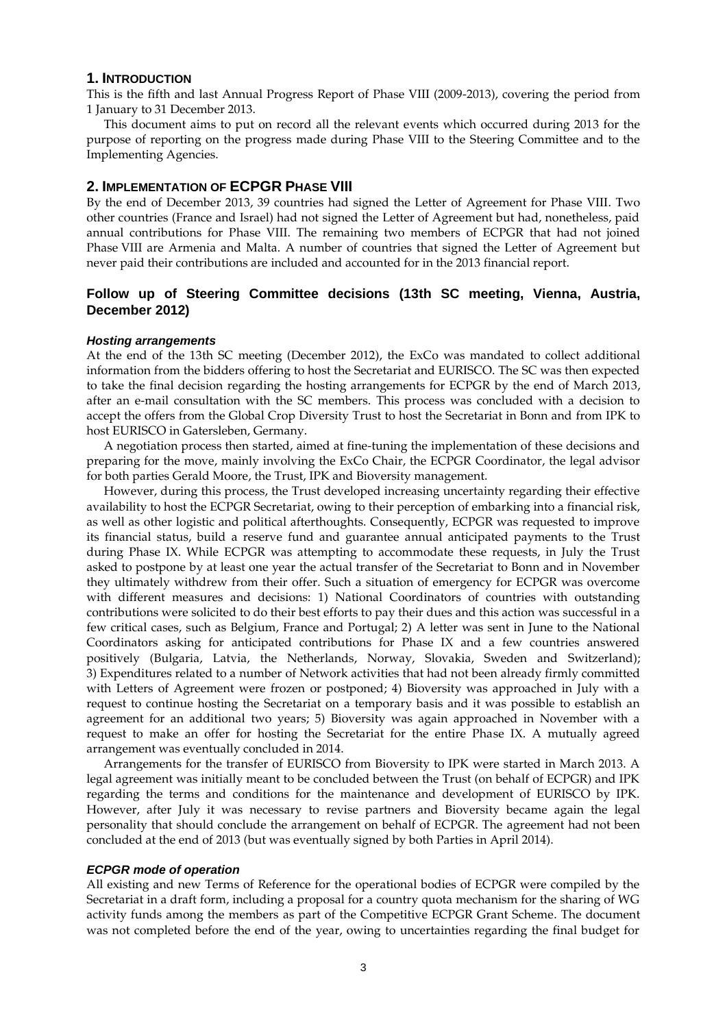#### **1. INTRODUCTION**

This is the fifth and last Annual Progress Report of Phase VIII (2009-2013), covering the period from 1 January to 31 December 2013.

This document aims to put on record all the relevant events which occurred during 2013 for the purpose of reporting on the progress made during Phase VIII to the Steering Committee and to the Implementing Agencies.

## **2. IMPLEMENTATION OF ECPGR PHASE VIII**

By the end of December 2013, 39 countries had signed the Letter of Agreement for Phase VIII. Two other countries (France and Israel) had not signed the Letter of Agreement but had, nonetheless, paid annual contributions for Phase VIII. The remaining two members of ECPGR that had not joined Phase VIII are Armenia and Malta. A number of countries that signed the Letter of Agreement but never paid their contributions are included and accounted for in the 2013 financial report.

## **Follow up of Steering Committee decisions (13th SC meeting, Vienna, Austria, December 2012)**

#### *Hosting arrangements*

At the end of the 13th SC meeting (December 2012), the ExCo was mandated to collect additional information from the bidders offering to host the Secretariat and EURISCO. The SC was then expected to take the final decision regarding the hosting arrangements for ECPGR by the end of March 2013, after an e-mail consultation with the SC members. This process was concluded with a decision to accept the offers from the Global Crop Diversity Trust to host the Secretariat in Bonn and from IPK to host EURISCO in Gatersleben, Germany.

A negotiation process then started, aimed at fine-tuning the implementation of these decisions and preparing for the move, mainly involving the ExCo Chair, the ECPGR Coordinator, the legal advisor for both parties Gerald Moore, the Trust, IPK and Bioversity management.

However, during this process, the Trust developed increasing uncertainty regarding their effective availability to host the ECPGR Secretariat, owing to their perception of embarking into a financial risk, as well as other logistic and political afterthoughts. Consequently, ECPGR was requested to improve its financial status, build a reserve fund and guarantee annual anticipated payments to the Trust during Phase IX. While ECPGR was attempting to accommodate these requests, in July the Trust asked to postpone by at least one year the actual transfer of the Secretariat to Bonn and in November they ultimately withdrew from their offer. Such a situation of emergency for ECPGR was overcome with different measures and decisions: 1) National Coordinators of countries with outstanding contributions were solicited to do their best efforts to pay their dues and this action was successful in a few critical cases, such as Belgium, France and Portugal; 2) A letter was sent in June to the National Coordinators asking for anticipated contributions for Phase IX and a few countries answered positively (Bulgaria, Latvia, the Netherlands, Norway, Slovakia, Sweden and Switzerland); 3) Expenditures related to a number of Network activities that had not been already firmly committed with Letters of Agreement were frozen or postponed; 4) Bioversity was approached in July with a request to continue hosting the Secretariat on a temporary basis and it was possible to establish an agreement for an additional two years; 5) Bioversity was again approached in November with a request to make an offer for hosting the Secretariat for the entire Phase IX. A mutually agreed arrangement was eventually concluded in 2014.

Arrangements for the transfer of EURISCO from Bioversity to IPK were started in March 2013. A legal agreement was initially meant to be concluded between the Trust (on behalf of ECPGR) and IPK regarding the terms and conditions for the maintenance and development of EURISCO by IPK. However, after July it was necessary to revise partners and Bioversity became again the legal personality that should conclude the arrangement on behalf of ECPGR. The agreement had not been concluded at the end of 2013 (but was eventually signed by both Parties in April 2014).

#### *ECPGR mode of operation*

All existing and new Terms of Reference for the operational bodies of ECPGR were compiled by the Secretariat in a draft form, including a proposal for a country quota mechanism for the sharing of WG activity funds among the members as part of the Competitive ECPGR Grant Scheme. The document was not completed before the end of the year, owing to uncertainties regarding the final budget for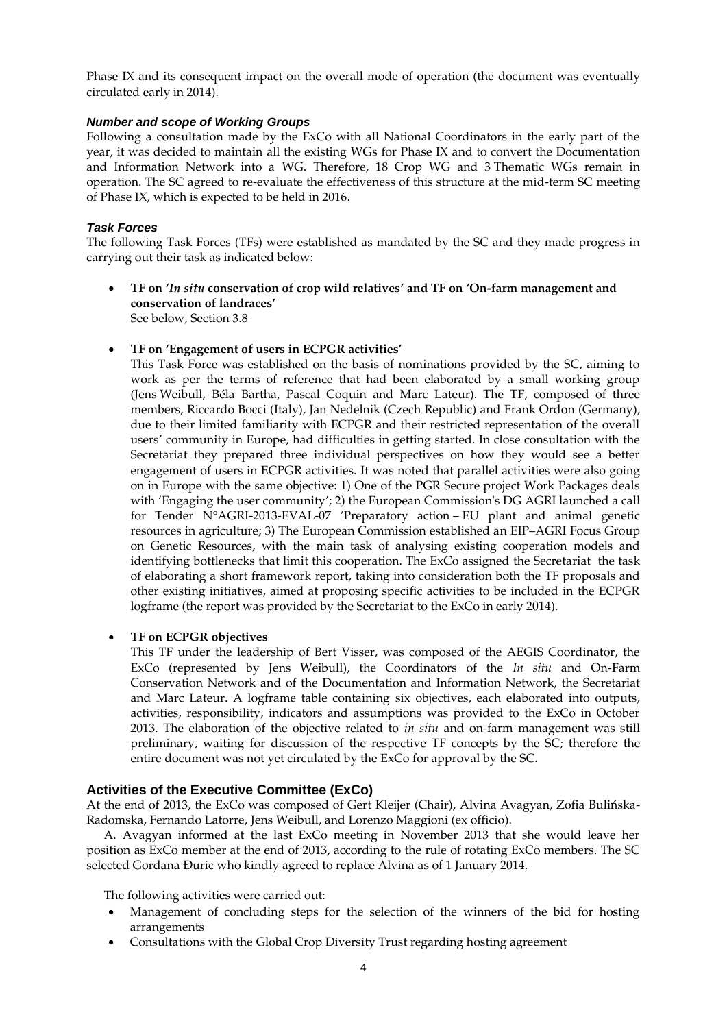Phase IX and its consequent impact on the overall mode of operation (the document was eventually circulated early in 2014).

## *Number and scope of Working Groups*

Following a consultation made by the ExCo with all National Coordinators in the early part of the year, it was decided to maintain all the existing WGs for Phase IX and to convert the Documentation and Information Network into a WG. Therefore, 18 Crop WG and 3 Thematic WGs remain in operation. The SC agreed to re-evaluate the effectiveness of this structure at the mid-term SC meeting of Phase IX, which is expected to be held in 2016.

## *Task Forces*

The following Task Forces (TFs) were established as mandated by the SC and they made progress in carrying out their task as indicated below:

- **TF on '***In situ* **conservation of crop wild relatives' and TF on 'On-farm management and conservation of landraces'** See below, Section 3.8
- **TF on 'Engagement of users in ECPGR activities'**

This Task Force was established on the basis of nominations provided by the SC, aiming to work as per the terms of reference that had been elaborated by a small working group (Jens Weibull, Béla Bartha, Pascal Coquin and Marc Lateur). The TF, composed of three members, Riccardo Bocci (Italy), Jan Nedelnik (Czech Republic) and Frank Ordon (Germany), due to their limited familiarity with ECPGR and their restricted representation of the overall users' community in Europe, had difficulties in getting started. In close consultation with the Secretariat they prepared three individual perspectives on how they would see a better engagement of users in ECPGR activities. It was noted that parallel activities were also going on in Europe with the same objective: 1) One of the PGR Secure project Work Packages deals with 'Engaging the user community'; 2) the European Commission's DG AGRI launched a call for Tender N°AGRI-2013-EVAL-07 'Preparatory action – EU plant and animal genetic resources in agriculture; 3) The European Commission established an EIP–AGRI Focus Group on Genetic Resources, with the main task of analysing existing cooperation models and identifying bottlenecks that limit this cooperation. The ExCo assigned the Secretariat the task of elaborating a short framework report, taking into consideration both the TF proposals and other existing initiatives, aimed at proposing specific activities to be included in the ECPGR logframe (the report was provided by the Secretariat to the ExCo in early 2014).

## **TF on ECPGR objectives**

This TF under the leadership of Bert Visser, was composed of the AEGIS Coordinator, the ExCo (represented by Jens Weibull), the Coordinators of the *In situ* and On-Farm Conservation Network and of the Documentation and Information Network, the Secretariat and Marc Lateur. A logframe table containing six objectives, each elaborated into outputs, activities, responsibility, indicators and assumptions was provided to the ExCo in October 2013. The elaboration of the objective related to *in situ* and on-farm management was still preliminary, waiting for discussion of the respective TF concepts by the SC; therefore the entire document was not yet circulated by the ExCo for approval by the SC.

## **Activities of the Executive Committee (ExCo)**

At the end of 2013, the ExCo was composed of Gert Kleijer (Chair), Alvina Avagyan, Zofia Bulińska-Radomska, Fernando Latorre, Jens Weibull, and Lorenzo Maggioni (ex officio).

A. Avagyan informed at the last ExCo meeting in November 2013 that she would leave her position as ExCo member at the end of 2013, according to the rule of rotating ExCo members. The SC selected Gordana Ðuric who kindly agreed to replace Alvina as of 1 January 2014.

The following activities were carried out:

- Management of concluding steps for the selection of the winners of the bid for hosting arrangements
- Consultations with the Global Crop Diversity Trust regarding hosting agreement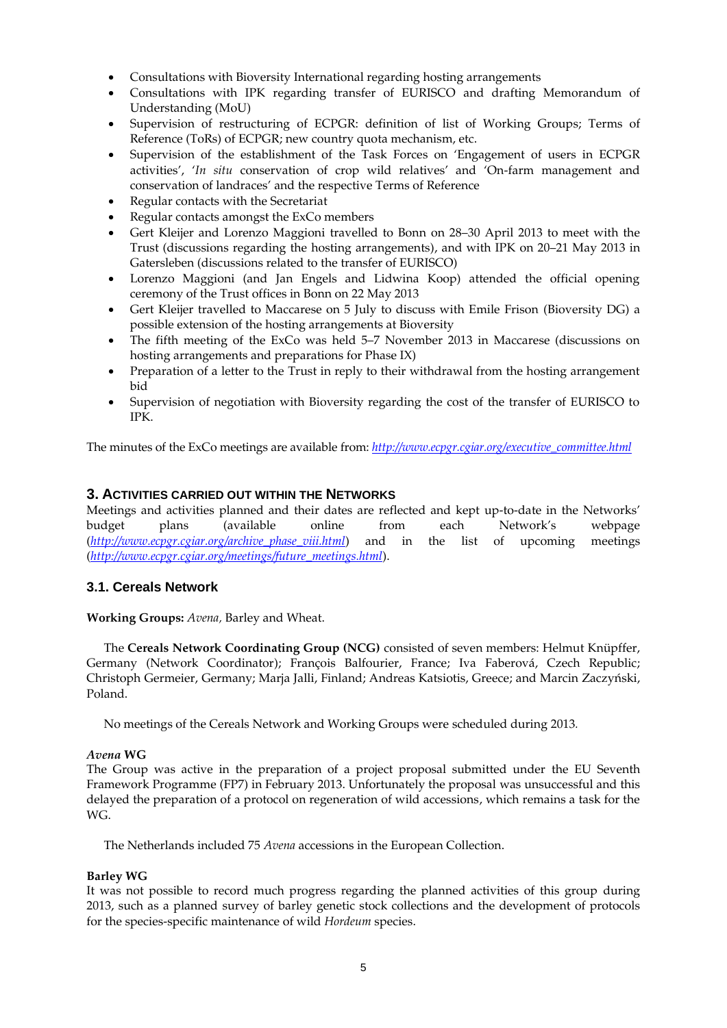- Consultations with Bioversity International regarding hosting arrangements
- Consultations with IPK regarding transfer of EURISCO and drafting Memorandum of Understanding (MoU)
- Supervision of restructuring of ECPGR: definition of list of Working Groups; Terms of Reference (ToRs) of ECPGR; new country quota mechanism, etc.
- Supervision of the establishment of the Task Forces on 'Engagement of users in ECPGR activities', '*In situ* conservation of crop wild relatives' and 'On-farm management and conservation of landraces' and the respective Terms of Reference
- Regular contacts with the Secretariat
- Regular contacts amongst the ExCo members
- Gert Kleijer and Lorenzo Maggioni travelled to Bonn on 28–30 April 2013 to meet with the Trust (discussions regarding the hosting arrangements), and with IPK on 20–21 May 2013 in Gatersleben (discussions related to the transfer of EURISCO)
- Lorenzo Maggioni (and Jan Engels and Lidwina Koop) attended the official opening ceremony of the Trust offices in Bonn on 22 May 2013
- Gert Kleijer travelled to Maccarese on 5 July to discuss with Emile Frison (Bioversity DG) a possible extension of the hosting arrangements at Bioversity
- The fifth meeting of the ExCo was held 5–7 November 2013 in Maccarese (discussions on hosting arrangements and preparations for Phase IX)
- Preparation of a letter to the Trust in reply to their withdrawal from the hosting arrangement bid
- Supervision of negotiation with Bioversity regarding the cost of the transfer of EURISCO to IPK.

The minutes of the ExCo meetings are available from: *[http://www.ecpgr.cgiar.org/executive\\_committee.html](http://www.ecpgr.cgiar.org/executive_committee.html)*

## **3. ACTIVITIES CARRIED OUT WITHIN THE NETWORKS**

Meetings and activities planned and their dates are reflected and kept up-to-date in the Networks' budget plans (available online from each Network's webpage (*[http://www.ecpgr.cgiar.org/archive\\_phase\\_viii.html](http://www.ecpgr.cgiar.org/archive_phase_viii.html)*) and in the list of upcoming meetings (*[http://www.ecpgr.cgiar.org/meetings/future\\_meetings.html](http://www.ecpgr.cgiar.org/meetings/future_meetings.html)*).

## **3.1. Cereals Network**

**Working Groups:** *Avena,* Barley and Wheat.

The **Cereals Network Coordinating Group (NCG)** consisted of seven members: Helmut Knüpffer, Germany (Network Coordinator); François Balfourier, France; Iva Faberová, Czech Republic; Christoph Germeier, Germany; Marja Jalli, Finland; Andreas Katsiotis, Greece; and Marcin Zaczyński, Poland.

No meetings of the Cereals Network and Working Groups were scheduled during 2013*.* 

### *Avena* **WG**

The Group was active in the preparation of a project proposal submitted under the EU Seventh Framework Programme (FP7) in February 2013. Unfortunately the proposal was unsuccessful and this delayed the preparation of a protocol on regeneration of wild accessions, which remains a task for the WG.

The Netherlands included 75 *Avena* accessions in the European Collection.

## **Barley WG**

It was not possible to record much progress regarding the planned activities of this group during 2013, such as a planned survey of barley genetic stock collections and the development of protocols for the species-specific maintenance of wild *Hordeum* species.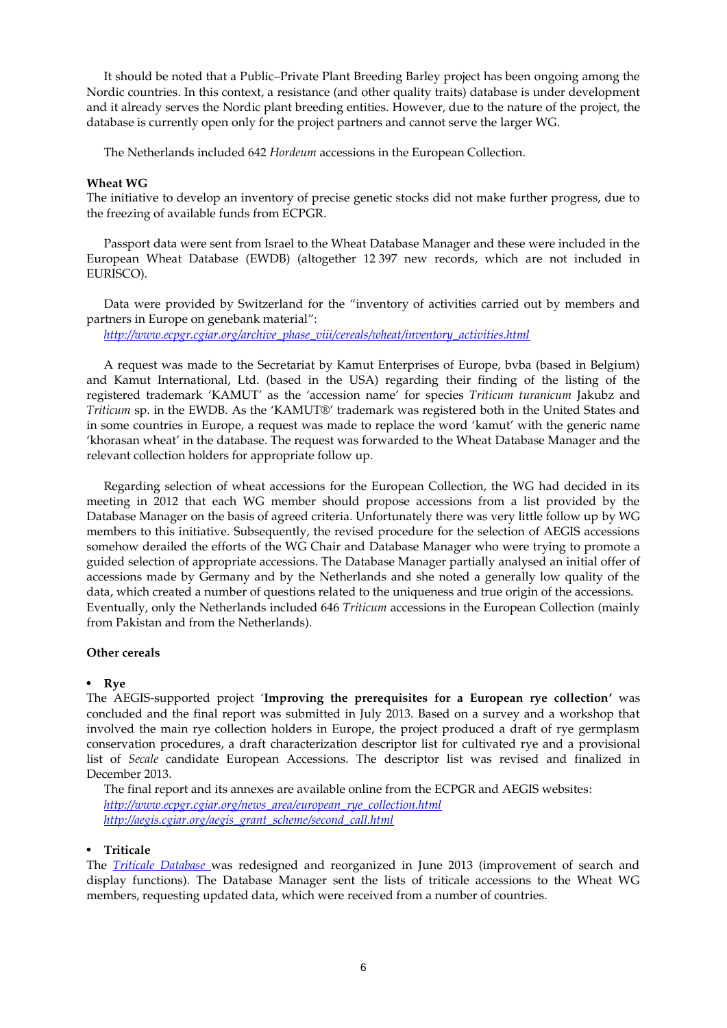It should be noted that a Public–Private Plant Breeding Barley project has been ongoing among the Nordic countries. In this context, a resistance (and other quality traits) database is under development and it already serves the Nordic plant breeding entities. However, due to the nature of the project, the database is currently open only for the project partners and cannot serve the larger WG.

The Netherlands included 642 *Hordeum* accessions in the European Collection.

#### **Wheat WG**

The initiative to develop an inventory of precise genetic stocks did not make further progress, due to the freezing of available funds from ECPGR.

Passport data were sent from Israel to the Wheat Database Manager and these were included in the European Wheat Database (EWDB) (altogether 12 397 new records, which are not included in EURISCO).

Data were provided by Switzerland for the "inventory of activities carried out by members and partners in Europe on genebank material":

*[http://www.ecpgr.cgiar.org/archive\\_phase\\_viii/cereals/wheat/inventory\\_activities.html](http://www.ecpgr.cgiar.org/archive_phase_viii/cereals/wheat/inventory_activities.html)*

A request was made to the Secretariat by Kamut Enterprises of Europe, bvba (based in Belgium) and Kamut International, Ltd. (based in the USA) regarding their finding of the listing of the registered trademark 'KAMUT' as the 'accession name' for species *Triticum turanicum* Jakubz and *Triticum* sp. in the EWDB. As the 'KAMUT®' trademark was registered both in the United States and in some countries in Europe, a request was made to replace the word 'kamut' with the generic name 'khorasan wheat' in the database. The request was forwarded to the Wheat Database Manager and the relevant collection holders for appropriate follow up.

Regarding selection of wheat accessions for the European Collection, the WG had decided in its meeting in 2012 that each WG member should propose accessions from a list provided by the Database Manager on the basis of agreed criteria. Unfortunately there was very little follow up by WG members to this initiative. Subsequently, the revised procedure for the selection of AEGIS accessions somehow derailed the efforts of the WG Chair and Database Manager who were trying to promote a guided selection of appropriate accessions. The Database Manager partially analysed an initial offer of accessions made by Germany and by the Netherlands and she noted a generally low quality of the data, which created a number of questions related to the uniqueness and true origin of the accessions. Eventually, only the Netherlands included 646 *Triticum* accessions in the European Collection (mainly from Pakistan and from the Netherlands).

#### **Other cereals**

#### • **Rye**

The AEGIS-supported project '**Improving the prerequisites for a European rye collection'** was concluded and the final report was submitted in July 2013. Based on a survey and a workshop that involved the main rye collection holders in Europe, the project produced a draft of rye germplasm conservation procedures, a draft characterization descriptor list for cultivated rye and a provisional list of *Secale* candidate European Accessions. The descriptor list was revised and finalized in December 2013.

The final report and its annexes are available online from the ECPGR and AEGIS websites: *[http://www.ecpgr.cgiar.org/news\\_area/european\\_rye\\_collection.html](http://www.ecpgr.cgiar.org/news_area/european_rye_collection.html) [http://aegis.cgiar.org/aegis\\_grant\\_scheme/second\\_call.html](http://aegis.cgiar.org/aegis_grant_scheme/second_call.html)*

#### • **Triticale**

The *[Triticale Database](http://www.bdn.ch/etdb/)* was redesigned and reorganized in June 2013 (improvement of search and display functions). The Database Manager sent the lists of triticale accessions to the Wheat WG members, requesting updated data, which were received from a number of countries.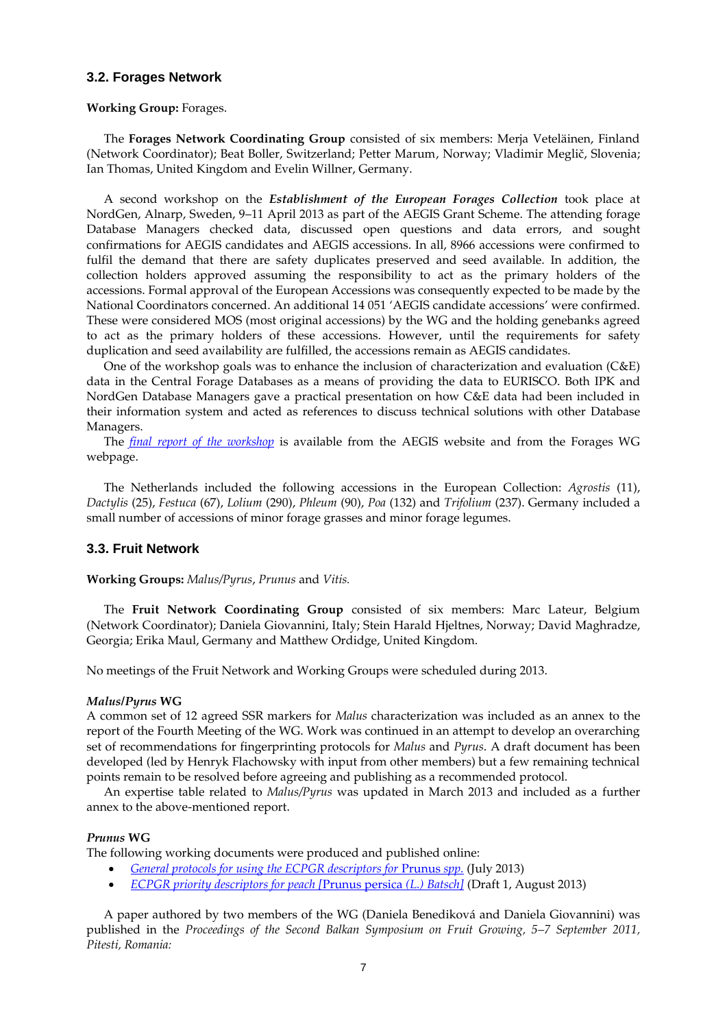## **3.2. Forages Network**

#### **Working Group:** Forages.

The **Forages Network Coordinating Group** consisted of six members: Merja Veteläinen, Finland (Network Coordinator); Beat Boller, Switzerland; Petter Marum, Norway; Vladimir Meglič, Slovenia; Ian Thomas, United Kingdom and Evelin Willner, Germany.

A second workshop on the *Establishment of the European Forages Collection* took place at NordGen, Alnarp, Sweden, 9–11 April 2013 as part of the AEGIS Grant Scheme. The attending forage Database Managers checked data, discussed open questions and data errors, and sought confirmations for AEGIS candidates and AEGIS accessions. In all, 8966 accessions were confirmed to fulfil the demand that there are safety duplicates preserved and seed available. In addition, the collection holders approved assuming the responsibility to act as the primary holders of the accessions. Formal approval of the European Accessions was consequently expected to be made by the National Coordinators concerned. An additional 14 051 'AEGIS candidate accessions' were confirmed. These were considered MOS (most original accessions) by the WG and the holding genebanks agreed to act as the primary holders of these accessions. However, until the requirements for safety duplication and seed availability are fulfilled, the accessions remain as AEGIS candidates.

One of the workshop goals was to enhance the inclusion of characterization and evaluation (C&E) data in the Central Forage Databases as a means of providing the data to EURISCO. Both IPK and NordGen Database Managers gave a practical presentation on how C&E data had been included in their information system and acted as references to discuss technical solutions with other Database Managers.

The *[final report of the workshop](http://aegis.cgiar.org/fileadmin/www.aegis.org/Documents/GRANT_REPORTS/SECOND_CALL/Final_reports_second_call/Report_AEGIS_Forage_WS2_FINAL_2013.pdf)* is available from the AEGIS website and from the Forages WG webpage.

The Netherlands included the following accessions in the European Collection: *Agrostis* (11), *Dactylis* (25), *Festuca* (67), *Lolium* (290), *Phleum* (90), *Poa* (132) and *Trifolium* (237). Germany included a small number of accessions of minor forage grasses and minor forage legumes.

## **3.3. Fruit Network**

**Working Groups:** *Malus/Pyrus*, *Prunus* and *Vitis.*

The **Fruit Network Coordinating Group** consisted of six members: Marc Lateur, Belgium (Network Coordinator); Daniela Giovannini, Italy; Stein Harald Hjeltnes, Norway; David Maghradze, Georgia; Erika Maul, Germany and Matthew Ordidge, United Kingdom.

No meetings of the Fruit Network and Working Groups were scheduled during 2013.

#### *Malus/Pyrus* **WG**

A common set of 12 agreed SSR markers for *Malus* characterization was included as an annex to the report of the Fourth Meeting of the WG. Work was continued in an attempt to develop an overarching set of recommendations for fingerprinting protocols for *Malus* and *Pyrus*. A draft document has been developed (led by Henryk Flachowsky with input from other members) but a few remaining technical points remain to be resolved before agreeing and publishing as a recommended protocol.

An expertise table related to *Malus/Pyrus* was updated in March 2013 and included as a further annex to the above-mentioned report.

#### *Prunus* **WG**

The following working documents were produced and published online:

- *[General protocols for using the ECPGR descriptors for](http://www.ecpgr.cgiar.org/fileadmin/www.ecpgr.cgiar.org/NW_and_WG_UPLOADS/Prunus/General_protocols_for_using_the_ECPGR_descriptors_for_Prunus_species_for_Web.pdf) Prunus spp.* (July 2013)
- *[ECPGR priority descriptors for peach \[](http://www.ecpgr.cgiar.org/fileadmin/www.ecpgr.cgiar.org/NW_and_WG_UPLOADS/Prunus/Peach_descriptors_DRAFT_1_30_08_13.pdf)*Prunus persica *(L.) Batsch]* (Draft 1, August 2013)

A paper authored by two members of the WG (Daniela Benediková and Daniela Giovannini) was published in the *Proceedings of the Second Balkan Symposium on Fruit Growing, 5–7 September 2011, Pitesti, Romania:*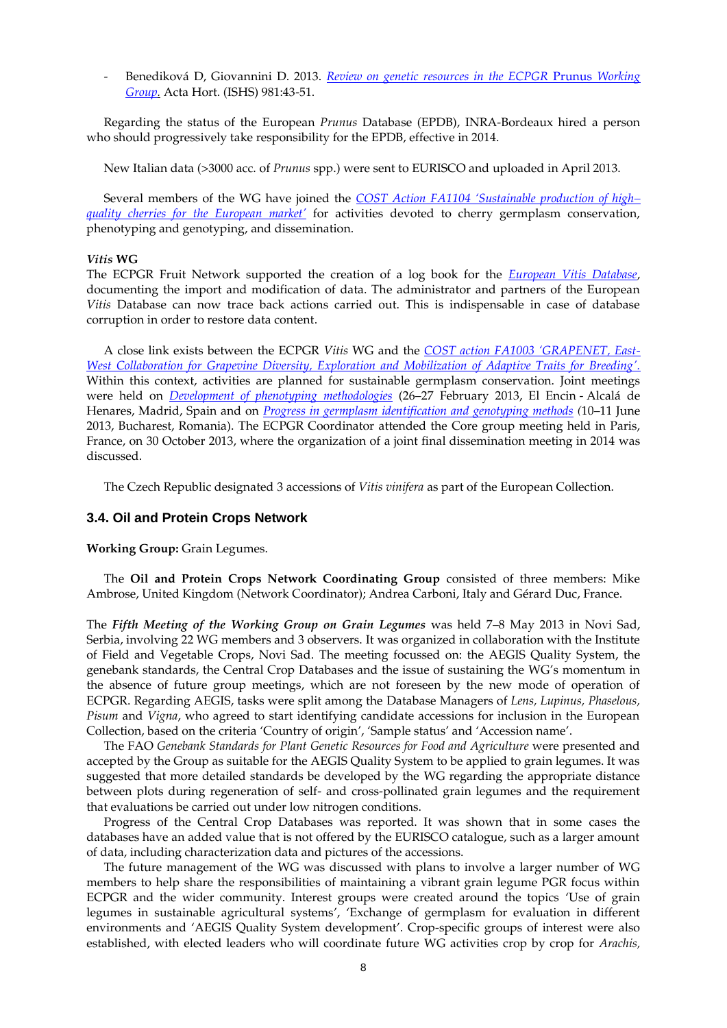- Benediková D, Giovannini D. 2013. *[Review on genetic resources in the ECPGR](http://www.actahort.org/books/981/981_2.htm)* Prunus *Working [Group.](http://www.actahort.org/books/981/981_2.htm)* Acta Hort. (ISHS) 981:43-51.

Regarding the status of the European *Prunus* Database (EPDB), INRA-Bordeaux hired a person who should progressively take responsibility for the EPDB, effective in 2014.

New Italian data (>3000 acc. of *Prunus* spp.) were sent to EURISCO and uploaded in April 2013.

Several members of the WG have joined the *[COST Action FA1104 'Sustainable production of high–](http://www.cost.eu/domains_actions/fa/Actions/FA1104) [quality cherries for the European market](http://www.cost.eu/domains_actions/fa/Actions/FA1104)'* for activities devoted to cherry germplasm conservation, phenotyping and genotyping, and dissemination.

#### *Vitis* **WG**

The ECPGR Fruit Network supported the creation of a log book for the *[European Vitis Database](http://www.eu-vitis.de/index.php)*, documenting the import and modification of data. The administrator and partners of the European *Vitis* Database can now trace back actions carried out. This is indispensable in case of database corruption in order to restore data content.

A close link exists between the ECPGR *Vitis* WG and the *[COST action FA1003](http://users.unimi.it/grapenet/index.php) 'GRAPENET, East-[West Collaboration for Grapevine Diversity, Exploration and Mobilization of Adaptive Traits for Breeding](http://users.unimi.it/grapenet/index.php)'.* Within this context, activities are planned for sustainable germplasm conservation. Joint meetings were held on *[Development of phenotyping methodologies](http://users.unimi.it/grapenet/events_madrid_meeting.php)* (26–27 February 2013, El Encin - Alcalá de Henares, Madrid, Spain and on *[Progress in germplasm identification and genotyping methods](http://users.unimi.it/grapenet/events_bucharest_meeting.php) (*10–11 June 2013, Bucharest, Romania). The ECPGR Coordinator attended the Core group meeting held in Paris, France, on 30 October 2013, where the organization of a joint final dissemination meeting in 2014 was discussed.

The Czech Republic designated 3 accessions of *Vitis vinifera* as part of the European Collection.

## **3.4. Oil and Protein Crops Network**

**Working Group:** Grain Legumes.

The **Oil and Protein Crops Network Coordinating Group** consisted of three members: Mike Ambrose, United Kingdom (Network Coordinator); Andrea Carboni, Italy and Gérard Duc, France.

The *Fifth Meeting of the Working Group on Grain Legumes* was held 7–8 May 2013 in Novi Sad, Serbia, involving 22 WG members and 3 observers. It was organized in collaboration with the Institute of Field and Vegetable Crops, Novi Sad. The meeting focussed on: the AEGIS Quality System, the genebank standards, the Central Crop Databases and the issue of sustaining the WG's momentum in the absence of future group meetings, which are not foreseen by the new mode of operation of ECPGR. Regarding AEGIS, tasks were split among the Database Managers of *Lens, Lupinus, Phaselous, Pisum* and *Vigna*, who agreed to start identifying candidate accessions for inclusion in the European Collection, based on the criteria 'Country of origin', 'Sample status' and 'Accession name'.

The FAO *Genebank Standards for Plant Genetic Resources for Food and Agriculture* were presented and accepted by the Group as suitable for the AEGIS Quality System to be applied to grain legumes. It was suggested that more detailed standards be developed by the WG regarding the appropriate distance between plots during regeneration of self- and cross-pollinated grain legumes and the requirement that evaluations be carried out under low nitrogen conditions.

Progress of the Central Crop Databases was reported. It was shown that in some cases the databases have an added value that is not offered by the EURISCO catalogue, such as a larger amount of data, including characterization data and pictures of the accessions.

The future management of the WG was discussed with plans to involve a larger number of WG members to help share the responsibilities of maintaining a vibrant grain legume PGR focus within ECPGR and the wider community. Interest groups were created around the topics 'Use of grain legumes in sustainable agricultural systems', 'Exchange of germplasm for evaluation in different environments and 'AEGIS Quality System development'. Crop-specific groups of interest were also established, with elected leaders who will coordinate future WG activities crop by crop for *Arachis,*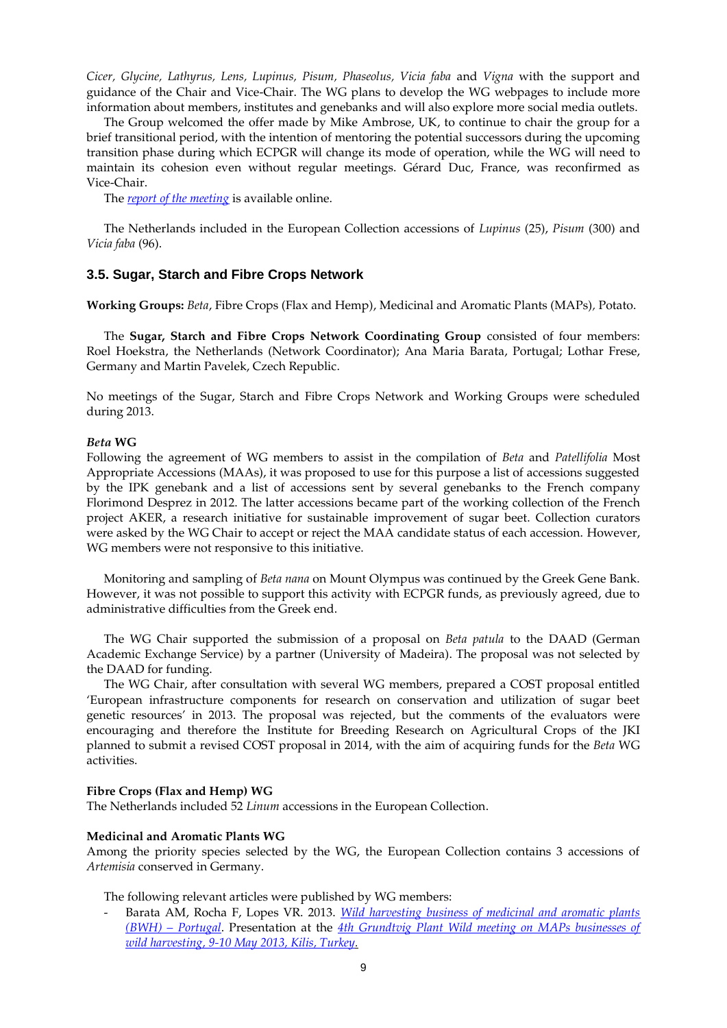*Cicer, Glycine, Lathyrus, Lens, Lupinus, Pisum, Phaseolus, Vicia faba* and *Vigna* with the support and guidance of the Chair and Vice-Chair. The WG plans to develop the WG webpages to include more information about members, institutes and genebanks and will also explore more social media outlets.

The Group welcomed the offer made by Mike Ambrose, UK, to continue to chair the group for a brief transitional period, with the intention of mentoring the potential successors during the upcoming transition phase during which ECPGR will change its mode of operation, while the WG will need to maintain its cohesion even without regular meetings. Gérard Duc, France, was reconfirmed as Vice-Chair.

The *[report of the meeting](http://www.ecpgr.cgiar.org/publications/publication/issue/report_of_a_working_group_on_grain_legumes-4.html)* is available online.

The Netherlands included in the European Collection accessions of *Lupinus* (25), *Pisum* (300) and *Vicia faba* (96).

### **3.5. Sugar, Starch and Fibre Crops Network**

**Working Groups:** *Beta*, Fibre Crops (Flax and Hemp), Medicinal and Aromatic Plants (MAPs)*,* Potato.

The **Sugar, Starch and Fibre Crops Network Coordinating Group** consisted of four members: Roel Hoekstra, the Netherlands (Network Coordinator); Ana Maria Barata, Portugal; Lothar Frese, Germany and Martin Pavelek, Czech Republic.

No meetings of the Sugar, Starch and Fibre Crops Network and Working Groups were scheduled during 2013.

#### *Beta* **WG**

Following the agreement of WG members to assist in the compilation of *Beta* and *Patellifolia* Most Appropriate Accessions (MAAs), it was proposed to use for this purpose a list of accessions suggested by the IPK genebank and a list of accessions sent by several genebanks to the French company Florimond Desprez in 2012. The latter accessions became part of the working collection of the French project AKER, a research initiative for sustainable improvement of sugar beet. Collection curators were asked by the WG Chair to accept or reject the MAA candidate status of each accession. However, WG members were not responsive to this initiative.

Monitoring and sampling of *Beta nana* on Mount Olympus was continued by the Greek Gene Bank. However, it was not possible to support this activity with ECPGR funds, as previously agreed, due to administrative difficulties from the Greek end.

The WG Chair supported the submission of a proposal on *Beta patula* to the DAAD (German Academic Exchange Service) by a partner (University of Madeira). The proposal was not selected by the DAAD for funding.

The WG Chair, after consultation with several WG members, prepared a COST proposal entitled 'European infrastructure components for research on conservation and utilization of sugar beet genetic resources' in 2013. The proposal was rejected, but the comments of the evaluators were encouraging and therefore the Institute for Breeding Research on Agricultural Crops of the JKI planned to submit a revised COST proposal in 2014, with the aim of acquiring funds for the *Beta* WG activities.

#### **Fibre Crops (Flax and Hemp) WG**

The Netherlands included 52 *Linum* accessions in the European Collection.

### **Medicinal and Aromatic Plants WG**

Among the priority species selected by the WG, the European Collection contains 3 accessions of *Artemisia* conserved in Germany.

The following relevant articles were published by WG members:

Barata AM, Rocha F, Lopes VR. 2013. *Wild harvesting business of medicinal and aromatic plants (BWH) – [Portugal](http://plantwild.files.wordpress.com/2013/06/bwh-portugal1.pdf)*. Presentation at the *[4th Grundtvig Plant Wild meeting on MAPs businesses of](http://plantwild.wordpress.com/2013/06/03/kilis-turkey-4th-grundtvig-plant-wild-meeting-on-maps-businesses-of-wild-harvesting/)  [wild harvesting, 9-10 May 2013, Kilis, Turkey.](http://plantwild.wordpress.com/2013/06/03/kilis-turkey-4th-grundtvig-plant-wild-meeting-on-maps-businesses-of-wild-harvesting/)*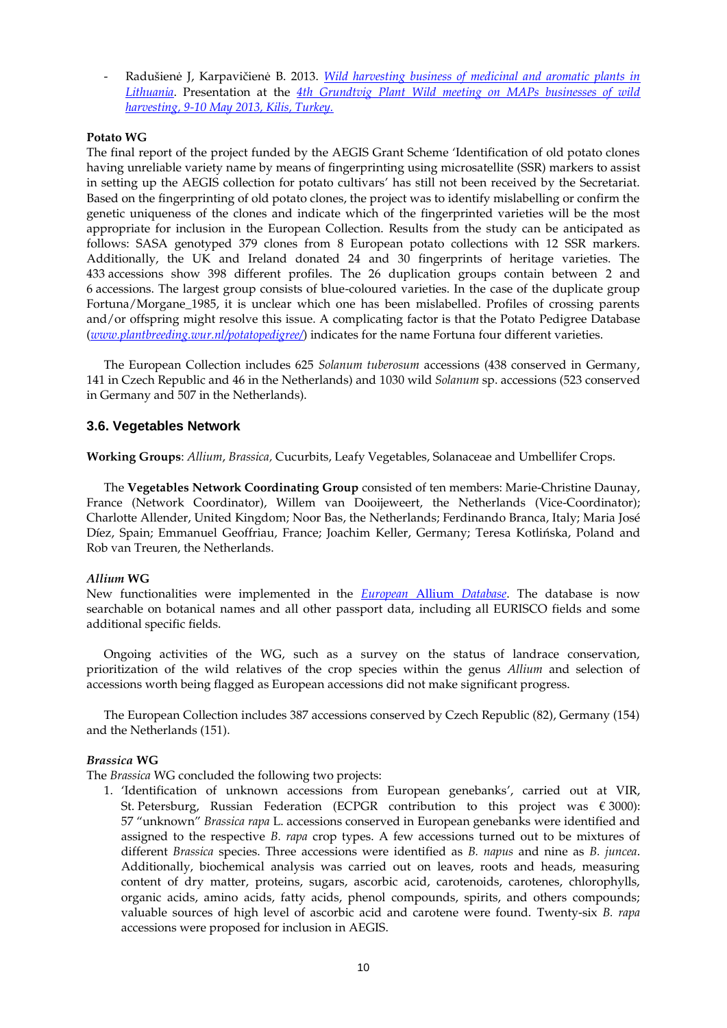- Radušienė J, Karpavičienė B. 2013. *[Wild harvesting business of medicinal and aromatic plants in](http://plantwild.files.wordpress.com/2013/06/bwh-lithuania1.pdf)  [Lithuania](http://plantwild.files.wordpress.com/2013/06/bwh-lithuania1.pdf)*. Presentation at the *[4th Grundtvig Plant Wild meeting on MAPs businesses of wild](http://plantwild.wordpress.com/2013/06/03/kilis-turkey-4th-grundtvig-plant-wild-meeting-on-maps-businesses-of-wild-harvesting/)  [harvesting, 9-10 May 2013, Kilis, Turkey.](http://plantwild.wordpress.com/2013/06/03/kilis-turkey-4th-grundtvig-plant-wild-meeting-on-maps-businesses-of-wild-harvesting/)*

### **Potato WG**

The final report of the project funded by the AEGIS Grant Scheme 'Identification of old potato clones having unreliable variety name by means of fingerprinting using microsatellite (SSR) markers to assist in setting up the AEGIS collection for potato cultivars' has still not been received by the Secretariat. Based on the fingerprinting of old potato clones, the project was to identify mislabelling or confirm the genetic uniqueness of the clones and indicate which of the fingerprinted varieties will be the most appropriate for inclusion in the European Collection. Results from the study can be anticipated as follows: SASA genotyped 379 clones from 8 European potato collections with 12 SSR markers. Additionally, the UK and Ireland donated 24 and 30 fingerprints of heritage varieties. The 433 accessions show 398 different profiles. The 26 duplication groups contain between 2 and 6 accessions. The largest group consists of blue-coloured varieties. In the case of the duplicate group Fortuna/Morgane 1985, it is unclear which one has been mislabelled. Profiles of crossing parents and/or offspring might resolve this issue. A complicating factor is that the Potato Pedigree Database (*[www.plantbreeding.wur.nl/potatopedigree/](http://www.plantbreeding.wur.nl/potatopedigree/)*) indicates for the name Fortuna four different varieties.

The European Collection includes 625 *Solanum tuberosum* accessions (438 conserved in Germany, 141 in Czech Republic and 46 in the Netherlands) and 1030 wild *Solanum* sp. accessions (523 conserved in Germany and 507 in the Netherlands).

## **3.6. Vegetables Network**

**Working Groups**: *Allium*, *Brassica,* Cucurbits, Leafy Vegetables, Solanaceae and Umbellifer Crops.

The **Vegetables Network Coordinating Group** consisted of ten members: Marie-Christine Daunay, France (Network Coordinator), Willem van Dooijeweert, the Netherlands (Vice-Coordinator); Charlotte Allender, United Kingdom; Noor Bas, the Netherlands; Ferdinando Branca, Italy; Maria José Díez, Spain; Emmanuel Geoffriau, France; Joachim Keller, Germany; Teresa Kotlińska, Poland and Rob van Treuren, the Netherlands.

## *Allium* **WG**

New functionalities were implemented in the *[European](http://ealldb.ipk-gatersleben.de/)* Allium *Database*. The database is now searchable on botanical names and all other passport data, including all EURISCO fields and some additional specific fields.

Ongoing activities of the WG, such as a survey on the status of landrace conservation, prioritization of the wild relatives of the crop species within the genus *Allium* and selection of accessions worth being flagged as European accessions did not make significant progress.

The European Collection includes 387 accessions conserved by Czech Republic (82), Germany (154) and the Netherlands (151).

#### *Brassica* **WG**

The *Brassica* WG concluded the following two projects:

1. 'Identification of unknown accessions from European genebanks', carried out at VIR, St. Petersburg, Russian Federation (ECPGR contribution to this project was  $\epsilon$  3000): 57 "unknown" *Brassica rapa* L. accessions conserved in European genebanks were identified and assigned to the respective *B. rapa* crop types. A few accessions turned out to be mixtures of different *Brassica* species. Three accessions were identified as *B. napus* and nine as *B. juncea*. Additionally, biochemical analysis was carried out on leaves, roots and heads, measuring content of dry matter, proteins, sugars, ascorbic acid, carotenoids, carotenes, chlorophylls, organic acids, amino acids, fatty acids, phenol compounds, spirits, and others compounds; valuable sources of high level of ascorbic acid and carotene were found. Twenty-six *B. rapa* accessions were proposed for inclusion in AEGIS.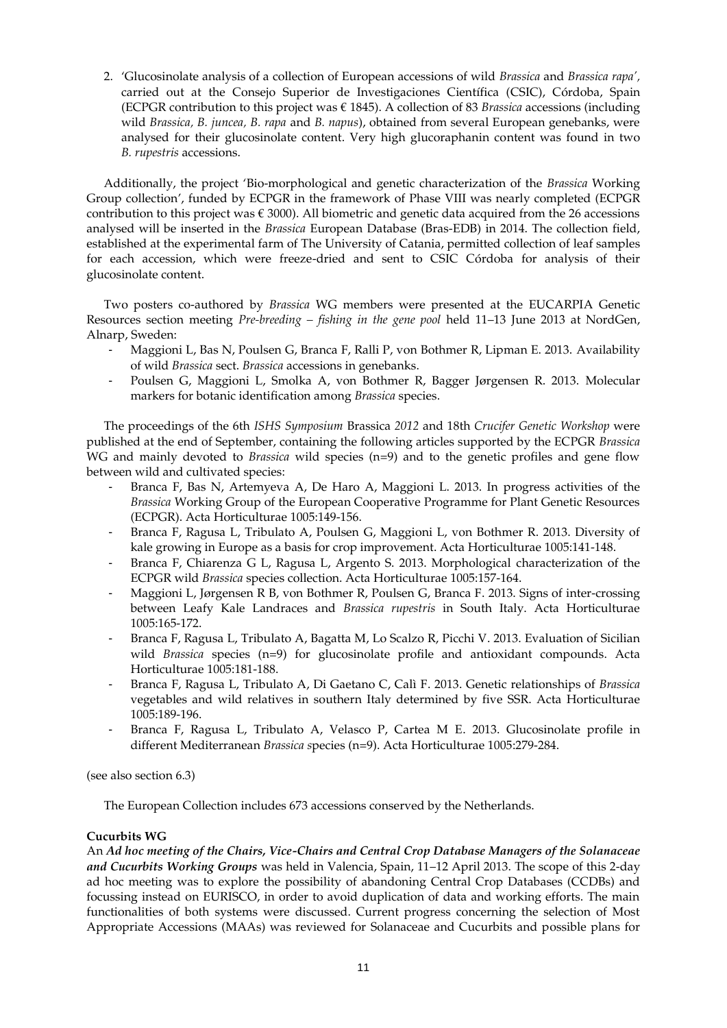2. 'Glucosinolate analysis of a collection of European accessions of wild *Brassica* and *Brassica rapa',* carried out at the Consejo Superior de Investigaciones Científica (CSIC), Córdoba, Spain (ECPGR contribution to this project was € 1845). A collection of 83 *Brassica* accessions (including wild *Brassica, B. juncea, B. rapa* and *B. napus*), obtained from several European genebanks, were analysed for their glucosinolate content. Very high glucoraphanin content was found in two *B. rupestris* accessions.

Additionally, the project 'Bio-morphological and genetic characterization of the *Brassica* Working Group collection', funded by ECPGR in the framework of Phase VIII was nearly completed (ECPGR contribution to this project was  $\epsilon$  3000). All biometric and genetic data acquired from the 26 accessions analysed will be inserted in the *Brassica* European Database (Bras-EDB) in 2014. The collection field, established at the experimental farm of The University of Catania, permitted collection of leaf samples for each accession, which were freeze-dried and sent to CSIC Córdoba for analysis of their glucosinolate content.

Two posters co-authored by *Brassica* WG members were presented at the EUCARPIA Genetic Resources section meeting *Pre-breeding – fishing in the gene pool* held 11–13 June 2013 at NordGen, Alnarp, Sweden:

- Maggioni L, Bas N, Poulsen G, Branca F, Ralli P, von Bothmer R, Lipman E. 2013. Availability of wild *Brassica* sect. *Brassica* accessions in genebanks.
- Poulsen G, Maggioni L, Smolka A, von Bothmer R, Bagger Jørgensen R. 2013. Molecular markers for botanic identification among *Brassica* species.

The proceedings of the 6th *ISHS Symposium* Brassica *2012* and 18th *Crucifer Genetic Workshop* were published at the end of September, containing the following articles supported by the ECPGR *Brassica* WG and mainly devoted to *Brassica* wild species (n=9) and to the genetic profiles and gene flow between wild and cultivated species:

- Branca F, Bas N, Artemyeva A, De Haro A, Maggioni L. 2013. In progress activities of the *Brassica* Working Group of the European Cooperative Programme for Plant Genetic Resources (ECPGR). Acta Horticulturae 1005:149-156.
- Branca F, Ragusa L, Tribulato A, Poulsen G, Maggioni L, von Bothmer R. 2013. Diversity of kale growing in Europe as a basis for crop improvement. Acta Horticulturae 1005:141-148.
- Branca F, Chiarenza G L, Ragusa L, Argento S. 2013. Morphological characterization of the ECPGR wild *Brassica* species collection. Acta Horticulturae 1005:157-164.
- Maggioni L, Jørgensen R B, von Bothmer R, Poulsen G, Branca F. 2013. Signs of inter-crossing between Leafy Kale Landraces and *Brassica rupestris* in South Italy. Acta Horticulturae 1005:165-172.
- Branca F, Ragusa L, Tribulato A, Bagatta M, Lo Scalzo R, Picchi V. 2013. Evaluation of Sicilian wild *Brassica* species (n=9) for glucosinolate profile and antioxidant compounds. Acta Horticulturae 1005:181-188.
- Branca F, Ragusa L, Tribulato A, Di Gaetano C, Calì F. 2013. Genetic relationships of *Brassica* vegetables and wild relatives in southern Italy determined by five SSR. Acta Horticulturae 1005:189-196.
- Branca F, Ragusa L, Tribulato A, Velasco P, Cartea M E. 2013. Glucosinolate profile in different Mediterranean *Brassica s*pecies (n=9). Acta Horticulturae 1005:279-284.

(see also section 6.3)

The European Collection includes 673 accessions conserved by the Netherlands.

## **Cucurbits WG**

An *Ad hoc meeting of the Chairs, Vice-Chairs and Central Crop Database Managers of the Solanaceae and Cucurbits Working Groups* was held in Valencia, Spain, 11–12 April 2013. The scope of this 2-day ad hoc meeting was to explore the possibility of abandoning Central Crop Databases (CCDBs) and focussing instead on EURISCO, in order to avoid duplication of data and working efforts. The main functionalities of both systems were discussed. Current progress concerning the selection of Most Appropriate Accessions (MAAs) was reviewed for Solanaceae and Cucurbits and possible plans for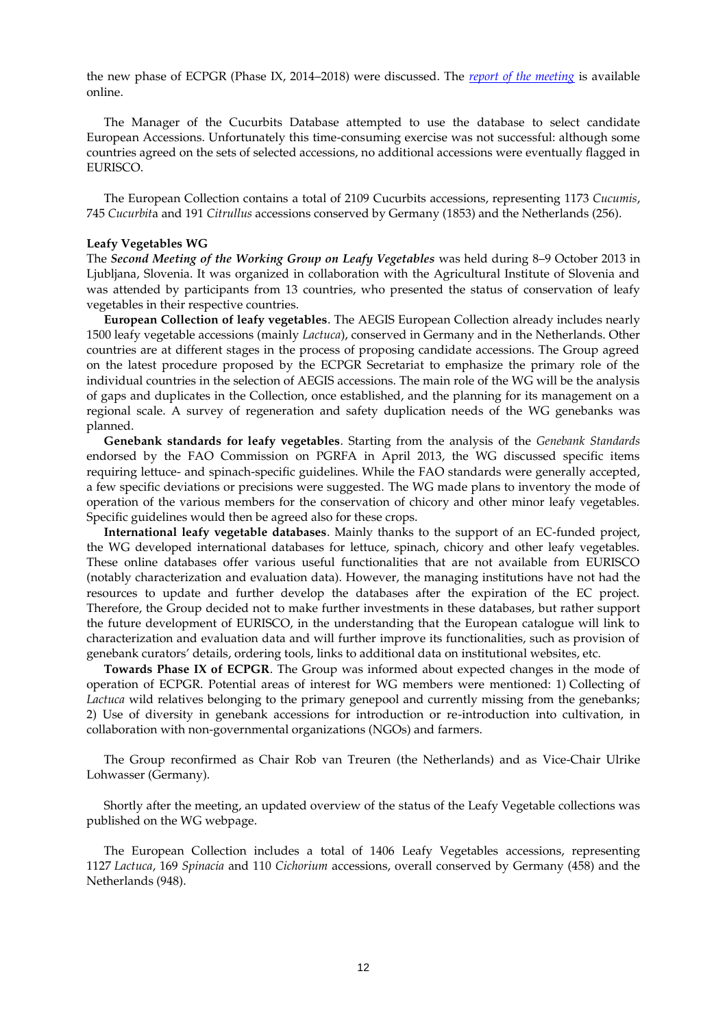the new phase of ECPGR (Phase IX, 2014–2018) were discussed. The *[report of the meeting](http://www.ecpgr.cgiar.org/fileadmin/www.ecpgr.cgiar.org/NW_and_WG_UPLOADS/VEGNET_misc/Valencia_Report_final_for_Web.pdf)* is available online.

The Manager of the Cucurbits Database attempted to use the database to select candidate European Accessions. Unfortunately this time-consuming exercise was not successful: although some countries agreed on the sets of selected accessions, no additional accessions were eventually flagged in EURISCO.

The European Collection contains a total of 2109 Cucurbits accessions, representing 1173 *Cucumis*, 745 *Cucurbit*a and 191 *Citrullus* accessions conserved by Germany (1853) and the Netherlands (256).

#### **Leafy Vegetables WG**

The *Second Meeting of the Working Group on Leafy Vegetables* was held during 8–9 October 2013 in Ljubljana, Slovenia. It was organized in collaboration with the Agricultural Institute of Slovenia and was attended by participants from 13 countries, who presented the status of conservation of leafy vegetables in their respective countries.

**European Collection of leafy vegetables**. The AEGIS European Collection already includes nearly 1500 leafy vegetable accessions (mainly *Lactuca*), conserved in Germany and in the Netherlands. Other countries are at different stages in the process of proposing candidate accessions. The Group agreed on the latest procedure proposed by the ECPGR Secretariat to emphasize the primary role of the individual countries in the selection of AEGIS accessions. The main role of the WG will be the analysis of gaps and duplicates in the Collection, once established, and the planning for its management on a regional scale. A survey of regeneration and safety duplication needs of the WG genebanks was planned.

**Genebank standards for leafy vegetables**. Starting from the analysis of the *Genebank Standards* endorsed by the FAO Commission on PGRFA in April 2013, the WG discussed specific items requiring lettuce- and spinach-specific guidelines. While the FAO standards were generally accepted, a few specific deviations or precisions were suggested. The WG made plans to inventory the mode of operation of the various members for the conservation of chicory and other minor leafy vegetables. Specific guidelines would then be agreed also for these crops.

**International leafy vegetable databases**. Mainly thanks to the support of an EC-funded project, the WG developed international databases for lettuce, spinach, chicory and other leafy vegetables. These online databases offer various useful functionalities that are not available from EURISCO (notably characterization and evaluation data). However, the managing institutions have not had the resources to update and further develop the databases after the expiration of the EC project. Therefore, the Group decided not to make further investments in these databases, but rather support the future development of EURISCO, in the understanding that the European catalogue will link to characterization and evaluation data and will further improve its functionalities, such as provision of genebank curators' details, ordering tools, links to additional data on institutional websites, etc.

**Towards Phase IX of ECPGR**. The Group was informed about expected changes in the mode of operation of ECPGR. Potential areas of interest for WG members were mentioned: 1) Collecting of *Lactuca* wild relatives belonging to the primary genepool and currently missing from the genebanks; 2) Use of diversity in genebank accessions for introduction or re-introduction into cultivation, in collaboration with non-governmental organizations (NGOs) and farmers.

The Group reconfirmed as Chair [Rob van Treuren](javascript:linkTo_UnCryptMailto() (the Netherlands) and as Vice-Chair [Ulrike](javascript:linkTo_UnCryptMailto()  [Lohwasser](javascript:linkTo_UnCryptMailto() (Germany).

Shortly after the meeting, an updated overview of the status of the Leafy Vegetable collections was published on the WG webpage.

The European Collection includes a total of 1406 Leafy Vegetables accessions, representing 1127 *Lactuca*, 169 *Spinacia* and 110 *Cichorium* accessions, overall conserved by Germany (458) and the Netherlands (948).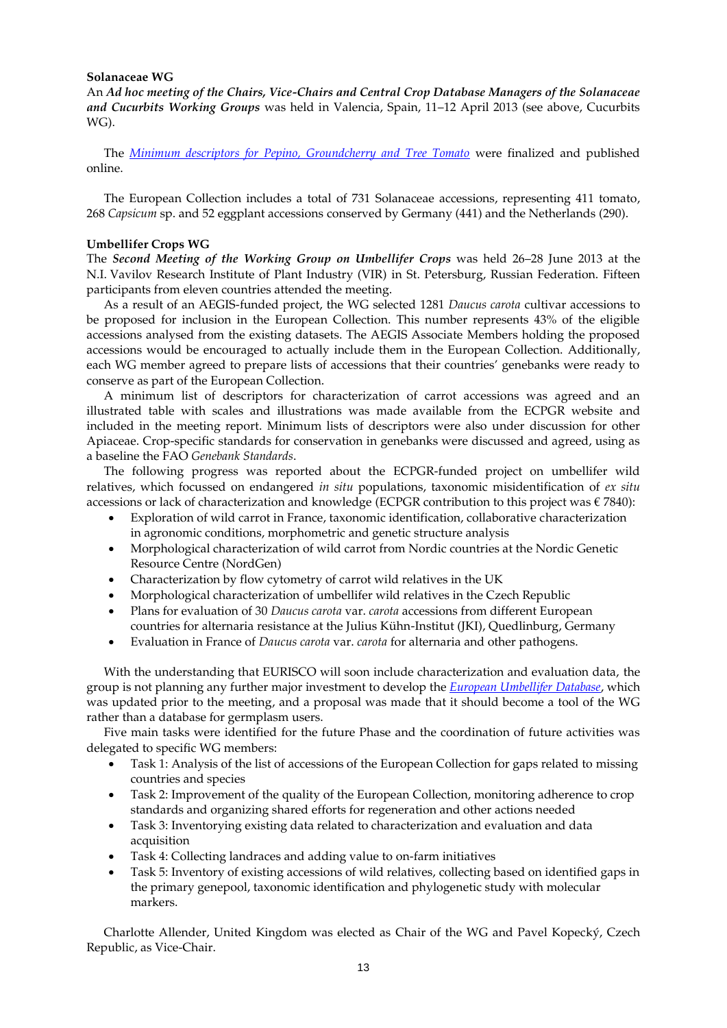#### **Solanaceae WG**

An *Ad hoc meeting of the Chairs, Vice-Chairs and Central Crop Database Managers of the Solanaceae and Cucurbits Working Groups* was held in Valencia, Spain, 11–12 April 2013 (see above, Cucurbits WG).

The *[Minimum descriptors for Pepino, Groundcherry and Tree Tomato](http://www.ecpgr.cgiar.org/fileadmin/www.ecpgr.cgiar.org/NW_and_WG_UPLOADS/Solanaceae_Miscc/Descriptors_minor_crops_NEW_for_Web_22022013.pdf)* were finalized and published online.

The European Collection includes a total of 731 Solanaceae accessions, representing 411 tomato, 268 *Capsicum* sp. and 52 eggplant accessions conserved by Germany (441) and the Netherlands (290).

#### **Umbellifer Crops WG**

The *Second Meeting of the Working Group on Umbellifer Crops* was held 26–28 June 2013 at the N.I. Vavilov Research Institute of Plant Industry (VIR) in St. Petersburg, Russian Federation. Fifteen participants from eleven countries attended the meeting.

As a result of an AEGIS-funded project, the WG selected 1281 *Daucus carota* cultivar accessions to be proposed for inclusion in the European Collection. This number represents 43% of the eligible accessions analysed from the existing datasets. The AEGIS Associate Members holding the proposed accessions would be encouraged to actually include them in the European Collection. Additionally, each WG member agreed to prepare lists of accessions that their countries' genebanks were ready to conserve as part of the European Collection.

A minimum list of descriptors for characterization of carrot accessions was agreed and an illustrated table with scales and illustrations was made available from the ECPGR website and included in the meeting report. Minimum lists of descriptors were also under discussion for other Apiaceae. Crop-specific standards for conservation in genebanks were discussed and agreed, using as a baseline the FAO *Genebank Standards*.

The following progress was reported about the ECPGR-funded project on umbellifer wild relatives, which focussed on endangered *in situ* populations, taxonomic misidentification of *ex situ* accessions or lack of characterization and knowledge (ECPGR contribution to this project was  $\epsilon$  7840):

- Exploration of wild carrot in France, taxonomic identification, collaborative characterization in agronomic conditions, morphometric and genetic structure analysis
- Morphological characterization of wild carrot from Nordic countries at the Nordic Genetic Resource Centre (NordGen)
- Characterization by flow cytometry of carrot wild relatives in the UK
- Morphological characterization of umbellifer wild relatives in the Czech Republic
- Plans for evaluation of 30 *Daucus carota* var. *carota* accessions from different European countries for alternaria resistance at the Julius Kühn-Institut (JKI), Quedlinburg, Germany
- Evaluation in France of *Daucus carota* var. *carota* for alternaria and other pathogens.

With the understanding that EURISCO will soon include characterization and evaluation data, the group is not planning any further major investment to develop the *[European Umbellifer Database](http://www2.warwick.ac.uk/fac/sci/lifesci/wcc/gru/eudb/)*, which was updated prior to the meeting, and a proposal was made that it should become a tool of the WG rather than a database for germplasm users.

Five main tasks were identified for the future Phase and the coordination of future activities was delegated to specific WG members:

- Task 1: Analysis of the list of accessions of the European Collection for gaps related to missing countries and species
- Task 2: Improvement of the quality of the European Collection, monitoring adherence to crop standards and organizing shared efforts for regeneration and other actions needed
- Task 3: Inventorying existing data related to characterization and evaluation and data acquisition
- Task 4: Collecting landraces and adding value to on-farm initiatives
- Task 5: Inventory of existing accessions of wild relatives, collecting based on identified gaps in the primary genepool, taxonomic identification and phylogenetic study with molecular markers.

Charlotte Allender, United Kingdom was elected as Chair of the WG and Pavel Kopecký, Czech Republic, as Vice-Chair.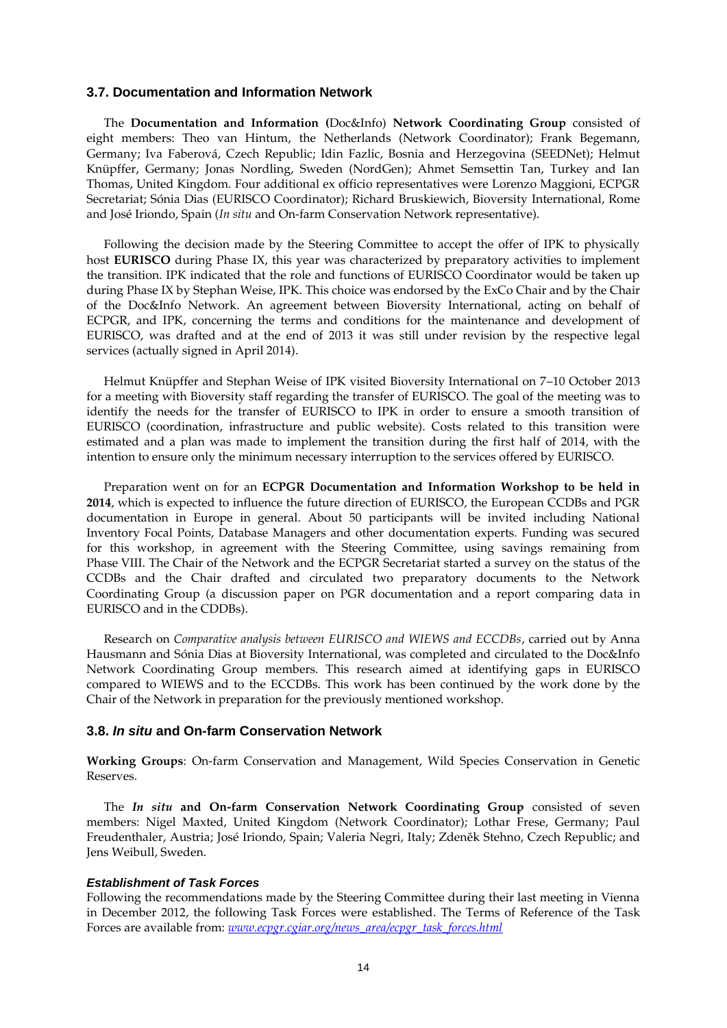#### **3.7. Documentation and Information Network**

The **Documentation and Information (**Doc&Info) **Network Coordinating Group** consisted of eight members: Theo van Hintum, the Netherlands (Network Coordinator); Frank Begemann, Germany; Iva Faberová, Czech Republic; Idin Fazlic, Bosnia and Herzegovina (SEEDNet); Helmut Knüpffer, Germany; Jonas Nordling, Sweden (NordGen); Ahmet Semsettin Tan, Turkey and Ian Thomas, United Kingdom. Four additional ex officio representatives were Lorenzo Maggioni, ECPGR Secretariat; Sónia Dias (EURISCO Coordinator); Richard Bruskiewich, Bioversity International, Rome and José Iriondo, Spain (*In situ* and On-farm Conservation Network representative).

Following the decision made by the Steering Committee to accept the offer of IPK to physically host **EURISCO** during Phase IX, this year was characterized by preparatory activities to implement the transition. IPK indicated that the role and functions of EURISCO Coordinator would be taken up during Phase IX by Stephan Weise, IPK. This choice was endorsed by the ExCo Chair and by the Chair of the Doc&Info Network. An agreement between Bioversity International, acting on behalf of ECPGR, and IPK, concerning the terms and conditions for the maintenance and development of EURISCO, was drafted and at the end of 2013 it was still under revision by the respective legal services (actually signed in April 2014).

Helmut Knüpffer and Stephan Weise of IPK visited Bioversity International on 7–10 October 2013 for a meeting with Bioversity staff regarding the transfer of EURISCO. The goal of the meeting was to identify the needs for the transfer of EURISCO to IPK in order to ensure a smooth transition of EURISCO (coordination, infrastructure and public website). Costs related to this transition were estimated and a plan was made to implement the transition during the first half of 2014, with the intention to ensure only the minimum necessary interruption to the services offered by EURISCO.

Preparation went on for an **ECPGR Documentation and Information Workshop to be held in 2014**, which is expected to influence the future direction of EURISCO, the European CCDBs and PGR documentation in Europe in general. About 50 participants will be invited including National Inventory Focal Points, Database Managers and other documentation experts. Funding was secured for this workshop, in agreement with the Steering Committee, using savings remaining from Phase VIII. The Chair of the Network and the ECPGR Secretariat started a survey on the status of the CCDBs and the Chair drafted and circulated two preparatory documents to the Network Coordinating Group (a discussion paper on PGR documentation and a report comparing data in EURISCO and in the CDDBs).

Research on *Comparative analysis between EURISCO and WIEWS and ECCDBs*, carried out by Anna Hausmann and Sónia Dias at Bioversity International, was completed and circulated to the Doc&Info Network Coordinating Group members. This research aimed at identifying gaps in EURISCO compared to WIEWS and to the ECCDBs. This work has been continued by the work done by the Chair of the Network in preparation for the previously mentioned workshop.

#### **3.8.** *In situ* **and On-farm Conservation Network**

**Working Groups**: On-farm Conservation and Management, Wild Species Conservation in Genetic Reserves.

The *In situ* **and On-farm Conservation Network Coordinating Group** consisted of seven members: Nigel Maxted, United Kingdom (Network Coordinator); Lothar Frese, Germany; Paul Freudenthaler, Austria; José Iriondo, Spain; Valeria Negri, Italy; Zdeněk Stehno, Czech Republic; and Jens Weibull, Sweden.

#### *Establishment of Task Forces*

Following the recommendations made by the Steering Committee during their last meeting in Vienna in December 2012, the following Task Forces were established. The Terms of Reference of the Task Forces are available from: *[www.ecpgr.cgiar.org/news\\_area/ecpgr\\_task\\_forces.html](http://www.ecpgr.cgiar.org/news_area/ecpgr_task_forces.html)*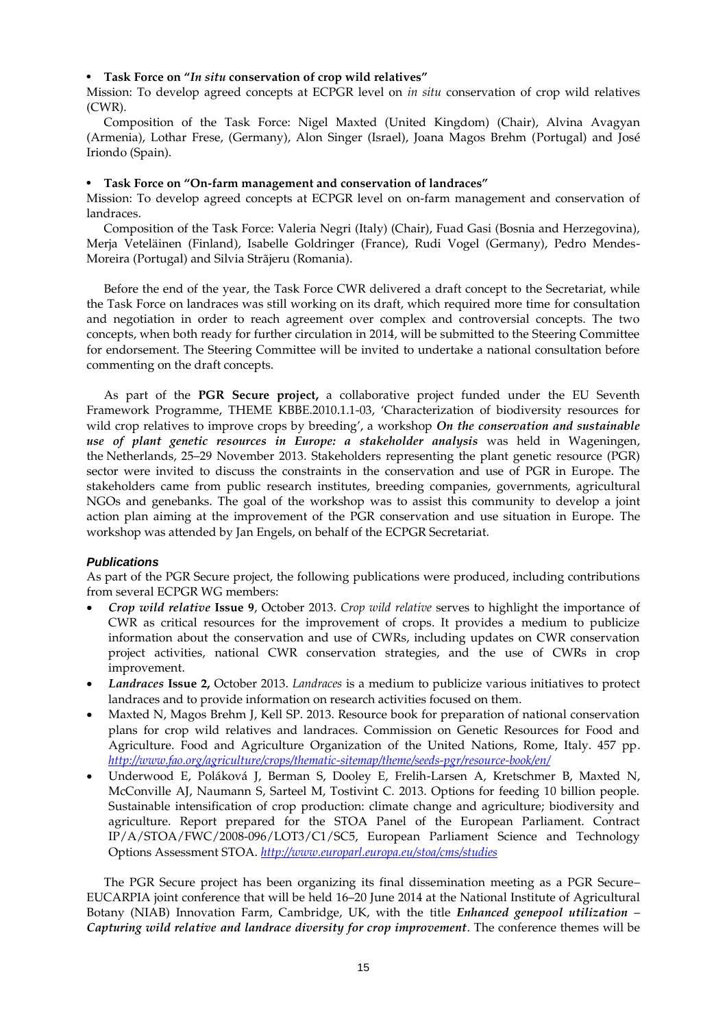#### • **Task Force on "***In situ* **conservation of crop wild relatives"**

Mission: To develop agreed concepts at ECPGR level on *in situ* conservation of crop wild relatives (CWR).

Composition of the Task Force: Nigel Maxted (United Kingdom) (Chair), Alvina Avagyan (Armenia), Lothar Frese, (Germany), Alon Singer (Israel), Joana Magos Brehm (Portugal) and José Iriondo (Spain).

#### • **Task Force on "On-farm management and conservation of landraces"**

Mission: To develop agreed concepts at ECPGR level on on-farm management and conservation of landraces.

Composition of the Task Force: Valeria Negri (Italy) (Chair), Fuad Gasi (Bosnia and Herzegovina), Merja Veteläinen (Finland), Isabelle Goldringer (France), Rudi Vogel (Germany), Pedro Mendes-Moreira (Portugal) and Silvia Strãjeru (Romania).

Before the end of the year, the Task Force CWR delivered a draft concept to the Secretariat, while the Task Force on landraces was still working on its draft, which required more time for consultation and negotiation in order to reach agreement over complex and controversial concepts. The two concepts, when both ready for further circulation in 2014, will be submitted to the Steering Committee for endorsement. The Steering Committee will be invited to undertake a national consultation before commenting on the draft concepts.

As part of the **[PGR Secure project,](http://www.pgrsecure.org/)** a collaborative project funded under the EU Seventh Framework Programme, THEME KBBE.2010.1.1-03, 'Characterization of biodiversity resources for wild crop relatives to improve crops by breeding', a workshop *On the conservation and sustainable use of plant genetic resources in Europe: a stakeholder analysis* was held in Wageningen, the Netherlands, 25–29 November 2013. Stakeholders representing the plant genetic resource (PGR) sector were invited to discuss the constraints in the conservation and use of PGR in Europe. The stakeholders came from public research institutes, breeding companies, governments, agricultural NGOs and genebanks. The goal of the workshop was to assist this community to develop a joint action plan aiming at the improvement of the PGR conservation and use situation in Europe. The workshop was attended by Jan Engels, on behalf of the ECPGR Secretariat.

#### *Publications*

As part of the PGR Secure project, the following publications were produced, including contributions from several ECPGR WG members:

- *Crop wild relative* **Issue 9**, October 2013. *Crop wild relative* serves to highlight the importance of CWR as critical resources for the improvement of crops. It provides a medium to publicize information about the conservation and use of CWRs, including updates on CWR conservation project activities, national CWR conservation strategies, and the use of CWRs in crop improvement.
- *Landraces* **Issue 2,** October 2013. *Landraces* is a medium to publicize various initiatives to protect landraces and to provide information on research activities focused on them.
- Maxted N, Magos Brehm J, Kell SP. 2013. Resource book for preparation of national conservation plans for crop wild relatives and landraces. Commission on Genetic Resources for Food and Agriculture. Food and Agriculture Organization of the United Nations, Rome, Italy. 457 pp. *<http://www.fao.org/agriculture/crops/thematic-sitemap/theme/seeds-pgr/resource-book/en/>*
- Underwood E, Poláková J, Berman S, Dooley E, Frelih-Larsen A, Kretschmer B, Maxted N, McConville AJ, Naumann S, Sarteel M, Tostivint C. 2013. Options for feeding 10 billion people. Sustainable intensification of crop production: climate change and agriculture; biodiversity and agriculture. Report prepared for the STOA Panel of the European Parliament. Contract IP/A/STOA/FWC/2008-096/LOT3/C1/SC5, European Parliament Science and Technology Options Assessment STOA. *<http://www.europarl.europa.eu/stoa/cms/studies>*

The PGR Secure project has been organizing its final dissemination meeting as a PGR Secure– EUCARPIA joint conference that will be held 16–20 June 2014 at the National Institute of Agricultural Botany (NIAB) Innovation Farm, Cambridge, UK, with the title *Enhanced genepool utilization* – *Capturing wild relative and landrace diversity for crop improvement*. The conference themes will be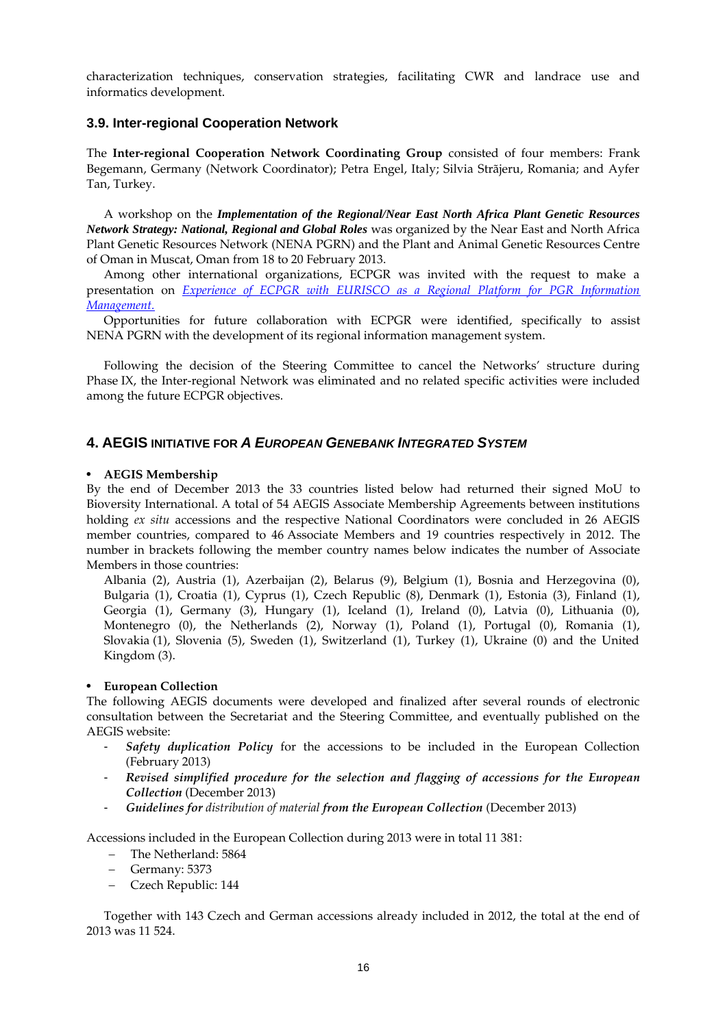characterization techniques, conservation strategies, facilitating CWR and landrace use and informatics development.

## **3.9. Inter-regional Cooperation Network**

The **Inter-regional Cooperation Network Coordinating Group** consisted of four members: Frank Begemann, Germany (Network Coordinator); Petra Engel, Italy; Silvia Strãjeru, Romania; and Ayfer Tan, Turkey.

A workshop on the *Implementation of the Regional/Near East North Africa Plant Genetic Resources Network Strategy: National, Regional and Global Roles* was organized by the Near East and North Africa Plant Genetic Resources Network (NENA PGRN) and the Plant and Animal Genetic Resources Centre of Oman in Muscat, Oman from 18 to 20 February 2013.

Among other international organizations, ECPGR was invited with the request to make a presentation on *Experience of ECPGR with EURISCO as a Regional Platform for PGR Information [Management.](http://www.ecpgr.cgiar.org/fileadmin/www.ecpgr.cgiar.org/Presentations/NENA/EURISCO_Engels-Maggioni_Oman_Feb2013.pdf)*

Opportunities for future collaboration with ECPGR were identified, specifically to assist NENA PGRN with the development of its regional information management system.

Following the decision of the Steering Committee to cancel the Networks' structure during Phase IX, the Inter-regional Network was eliminated and no related specific activities were included among the future ECPGR objectives.

## **4. AEGIS INITIATIVE FOR** *A EUROPEAN GENEBANK INTEGRATED SYSTEM*

#### • **AEGIS Membership**

By the end of December 2013 the 33 countries listed below had returned their signed MoU to Bioversity International. A total of 54 AEGIS Associate Membership Agreements between institutions holding *ex situ* accessions and the respective National Coordinators were concluded in 26 AEGIS member countries, compared to 46 Associate Members and 19 countries respectively in 2012. The number in brackets following the member country names below indicates the number of Associate Members in those countries:

Albania (2), Austria (1), Azerbaijan (2), Belarus (9), Belgium (1), Bosnia and Herzegovina (0), Bulgaria (1), Croatia (1), Cyprus (1), Czech Republic (8), Denmark (1), Estonia (3), Finland (1), Georgia (1), Germany (3), Hungary (1), Iceland (1), Ireland (0), Latvia (0), Lithuania (0), Montenegro (0), the Netherlands (2), Norway (1), Poland (1), Portugal (0), Romania (1), Slovakia (1), Slovenia (5), Sweden (1), Switzerland (1), Turkey (1), Ukraine (0) and the United Kingdom (3).

### • **European Collection**

The following AEGIS documents were developed and finalized after several rounds of electronic consultation between the Secretariat and the Steering Committee, and eventually published on the AEGIS website:

- *Safety duplication Policy* for the accessions to be included in the European Collection (February 2013)
- *Revised simplified procedure for the selection and flagging of accessions for the European Collection* (December 2013)
- *Guidelines for distribution of material from the European Collection* (December 2013)

Accessions included in the European Collection during 2013 were in total 11 381:

- The Netherland: 5864
- Germany: 5373
- Czech Republic: 144

Together with 143 Czech and German accessions already included in 2012, the total at the end of 2013 was 11 524.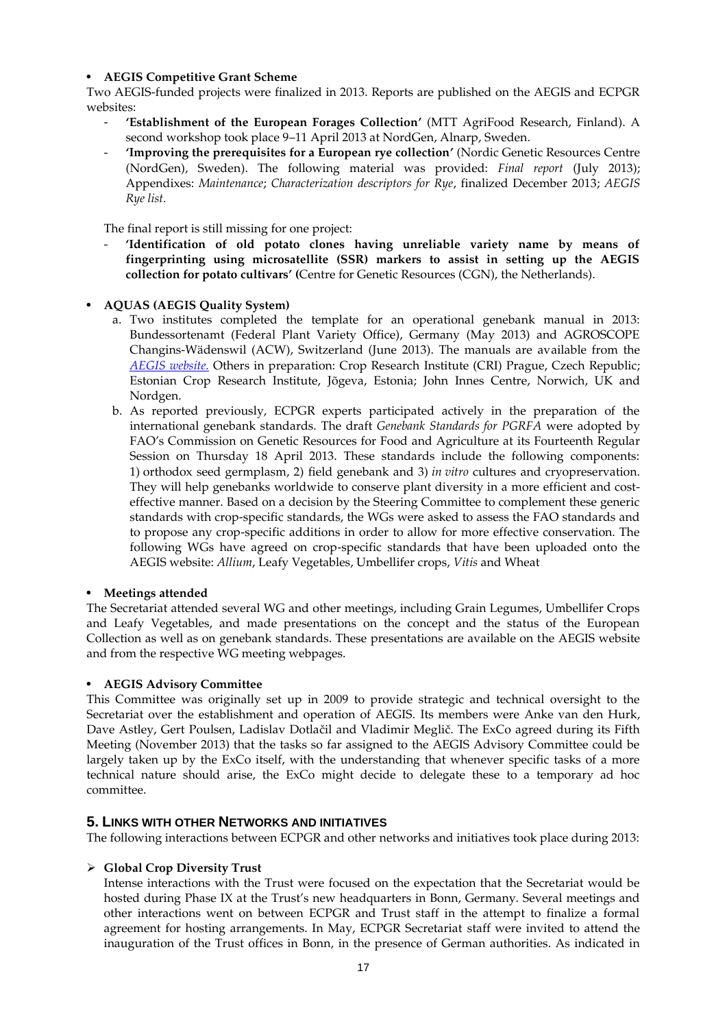### • **AEGIS Competitive Grant Scheme**

Two AEGIS-funded projects were finalized in 2013. Reports are published on the AEGIS and ECPGR websites:

- **'Establishment of the European Forages Collection'** (MTT AgriFood Research, Finland). A second workshop took place 9–11 April 2013 at NordGen, Alnarp, Sweden.
- **'Improving the prerequisites for a European rye collection'** (Nordic Genetic Resources Centre (NordGen), Sweden). The following material was provided: *Final report* (July 2013); Appendixes: *Maintenance*; *Characterization descriptors for Rye*, finalized December 2013; *AEGIS Rye list.*

The final report is still missing for one project:

- **'Identification of old potato clones having unreliable variety name by means of fingerprinting using microsatellite (SSR) markers to assist in setting up the AEGIS collection for potato cultivars' (**Centre for Genetic Resources (CGN), the Netherlands).

### • **AQUAS (AEGIS Quality System)**

- a. Two institutes completed the template for an operational genebank manual in 2013: Bundessortenamt (Federal Plant Variety Office), Germany (May 2013) and AGROSCOPE Changins-Wädenswil (ACW), Switzerland (June 2013). The manuals are available from the *[AEGIS website.](http://aegis.cgiar.org/aquas/genebank_manuals.html)* Others in preparation: Crop Research Institute (CRI) Prague, Czech Republic; Estonian Crop Research Institute, Jõgeva, Estonia; John Innes Centre, Norwich, UK and Nordgen.
- b. As reported previously, ECPGR experts participated actively in the preparation of the international genebank standards. The draft *Genebank Standards for PGRFA* were adopted by FAO's Commission on Genetic Resources for Food and Agriculture at its Fourteenth Regular Session on Thursday 18 April 2013. These standards include the following components: 1) orthodox seed germplasm, 2) field genebank and 3) *in vitro* cultures and cryopreservation. They will help genebanks worldwide to conserve plant diversity in a more efficient and costeffective manner. Based on a decision by the Steering Committee to complement these generic standards with crop-specific standards, the WGs were asked to assess the FAO standards and to propose any crop-specific additions in order to allow for more effective conservation. The following WGs have agreed on crop-specific standards that have been uploaded onto the AEGIS website: *Allium*, Leafy Vegetables, Umbellifer crops, *Vitis* and Wheat

#### • **Meetings attended**

The Secretariat attended several WG and other meetings, including Grain Legumes, Umbellifer Crops and Leafy Vegetables, and made presentations on the concept and the status of the European Collection as well as on genebank standards. These presentations are available on the AEGIS website and from the respective WG meeting webpages.

#### • **AEGIS Advisory Committee**

This Committee was originally set up in 2009 to provide strategic and technical oversight to the Secretariat over the establishment and operation of AEGIS. Its members were Anke van den Hurk, Dave Astley, Gert Poulsen, Ladislav Dotlačil and Vladimir Meglič. The ExCo agreed during its Fifth Meeting (November 2013) that the tasks so far assigned to the AEGIS Advisory Committee could be largely taken up by the ExCo itself, with the understanding that whenever specific tasks of a more technical nature should arise, the ExCo might decide to delegate these to a temporary ad hoc committee.

## **5. LINKS WITH OTHER NETWORKS AND INITIATIVES**

The following interactions between ECPGR and other networks and initiatives took place during 2013:

#### **Global Crop Diversity Trust**

Intense interactions with the Trust were focused on the expectation that the Secretariat would be hosted during Phase IX at the Trust's new headquarters in Bonn, Germany. Several meetings and other interactions went on between ECPGR and Trust staff in the attempt to finalize a formal agreement for hosting arrangements. In May, ECPGR Secretariat staff were invited to attend the inauguration of the Trust offices in Bonn, in the presence of German authorities. As indicated in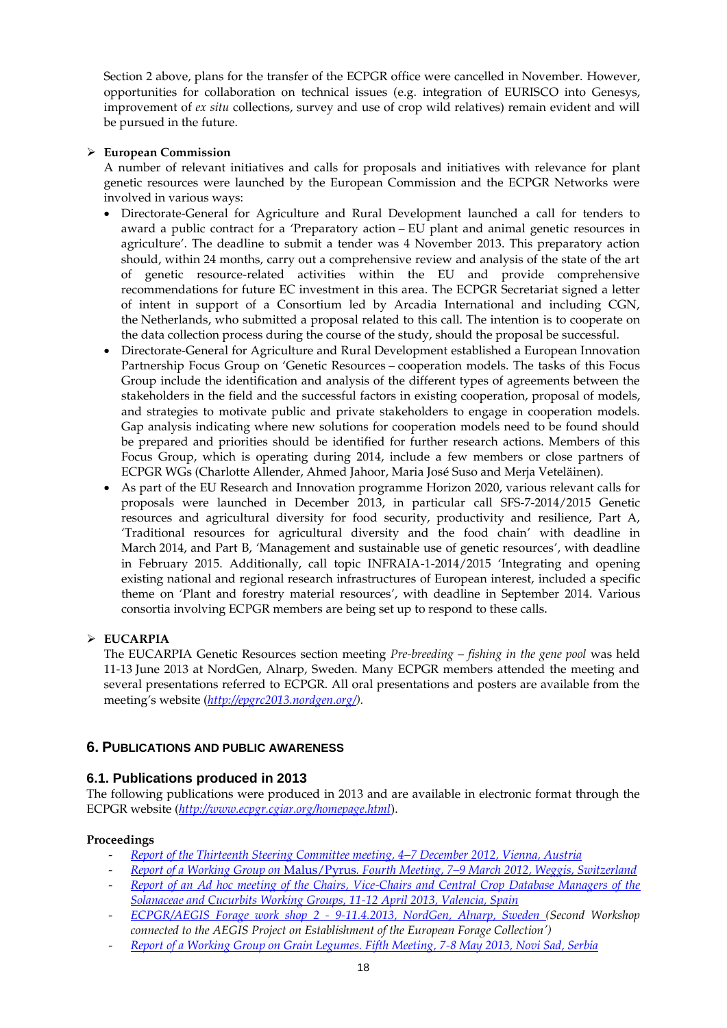Section 2 above, plans for the transfer of the ECPGR office were cancelled in November. However, opportunities for collaboration on technical issues (e.g. integration of EURISCO into Genesys, improvement of *ex situ* collections, survey and use of crop wild relatives) remain evident and will be pursued in the future.

## **European Commission**

A number of relevant initiatives and calls for proposals and initiatives with relevance for plant genetic resources were launched by the European Commission and the ECPGR Networks were involved in various ways:

- Directorate-General for Agriculture and Rural Development launched a call for tenders to award a public contract for a 'Preparatory action – EU plant and animal genetic resources in agriculture'. The deadline to submit a tender was 4 November 2013. This preparatory action should, within 24 months, carry out a comprehensive review and analysis of the state of the art of genetic resource-related activities within the EU and provide comprehensive recommendations for future EC investment in this area. The ECPGR Secretariat signed a letter of intent in support of a Consortium led by Arcadia International and including CGN, the Netherlands, who submitted a proposal related to this call. The intention is to cooperate on the data collection process during the course of the study, should the proposal be successful.
- Directorate-General for Agriculture and Rural Development established a European Innovation Partnership Focus Group on 'Genetic Resources – cooperation models. The tasks of this Focus Group include the identification and analysis of the different types of agreements between the stakeholders in the field and the successful factors in existing cooperation, proposal of models, and strategies to motivate public and private stakeholders to engage in cooperation models. Gap analysis indicating where new solutions for cooperation models need to be found should be prepared and priorities should be identified for further research actions. Members of this Focus Group, which is operating during 2014, include a few members or close partners of ECPGR WGs (Charlotte Allender, Ahmed Jahoor, Maria José Suso and Merja Veteläinen).
- As part of the EU Research and Innovation programme Horizon 2020, various relevant calls for proposals were launched in December 2013, in particular call SFS-7-2014/2015 Genetic resources and agricultural diversity for food security, productivity and resilience, Part A, 'Traditional resources for agricultural diversity and the food chain' with deadline in March 2014, and Part B, 'Management and sustainable use of genetic resources', with deadline in February 2015. Additionally, call topic INFRAIA-1-2014/2015 'Integrating and opening existing national and regional research infrastructures of European interest, included a specific theme on 'Plant and forestry material resources', with deadline in September 2014. Various consortia involving ECPGR members are being set up to respond to these calls.

## **EUCARPIA**

The EUCARPIA Genetic Resources section meeting *Pre-breeding* – *fishing in the gene pool* was held 11-13 June 2013 at NordGen, Alnarp, Sweden. Many ECPGR members attended the meeting and several presentations referred to ECPGR. All oral presentations and posters are available from the meeting's website (*[http://epgrc2013.nordgen.org/\)](http://epgrc2013.nordgen.org/).*

## **6. PUBLICATIONS AND PUBLIC AWARENESS**

## **6.1. Publications produced in 2013**

The following publications were produced in 2013 and are available in electronic format through the ECPGR website (*<http://www.ecpgr.cgiar.org/homepage.html>*).

## **Proceedings**

- *[Report of the Thirteenth Steering Committee meeting, 4](http://www.ecpgr.cgiar.org/publications/publication/issue/report_of_the_steering_committee.html)–7 December 2012, Vienna, Austria*
- *Report of a Working Group on* Malus/Pyrus*. Fourth Meeting, 7–[9 March 2012, Weggis, Switzerland](http://www.ecpgr.cgiar.org/publications/publication/issue/report_of_a_working_group_on_emmaluspyrusem.html)*
- *[Report of an Ad hoc meeting of the Chairs, Vice-Chairs and Central Crop Database Managers of the](http://www.ecpgr.cgiar.org/fileadmin/bioversity/publications/pdfs/Report_of_an_Ad_hoc_meeting_of_the_Chairs__Vice-Chairs_and_Central_Crop_Database_Managers_of_the_Solanaceae_and_Cucurbits_Working_Groups__11-12_April_2013__Valencia__Spain_1634.pdf?cache=1390474245)  [Solanaceae and Cucurbits Working Groups, 11-12 April 2013, Valencia, Spain](http://www.ecpgr.cgiar.org/fileadmin/bioversity/publications/pdfs/Report_of_an_Ad_hoc_meeting_of_the_Chairs__Vice-Chairs_and_Central_Crop_Database_Managers_of_the_Solanaceae_and_Cucurbits_Working_Groups__11-12_April_2013__Valencia__Spain_1634.pdf?cache=1390474245)*
- *ECPGR/AEGIS Forage work shop 2 - [9-11.4.2013, NordGen, Alnarp, Sweden \(](http://www.ecpgr.cgiar.org/fileadmin/www.aegis.org/Documents/GRANT_REPORTS/SECOND_CALL/Final_reports_second_call/Report_AEGIS_Forage_WS2_FINAL_2013.pdf)Second Workshop connected to the AEGIS Project on Establishment of the European Forage Collection')*
- *[Report of a Working Group on Grain Legumes. Fifth Meeting, 7-8 May 2013, Novi Sad, Serbia](http://www.ecpgr.cgiar.org/publications/publication/issue/report_of_a_working_group_on_grain_legumes-4.html)*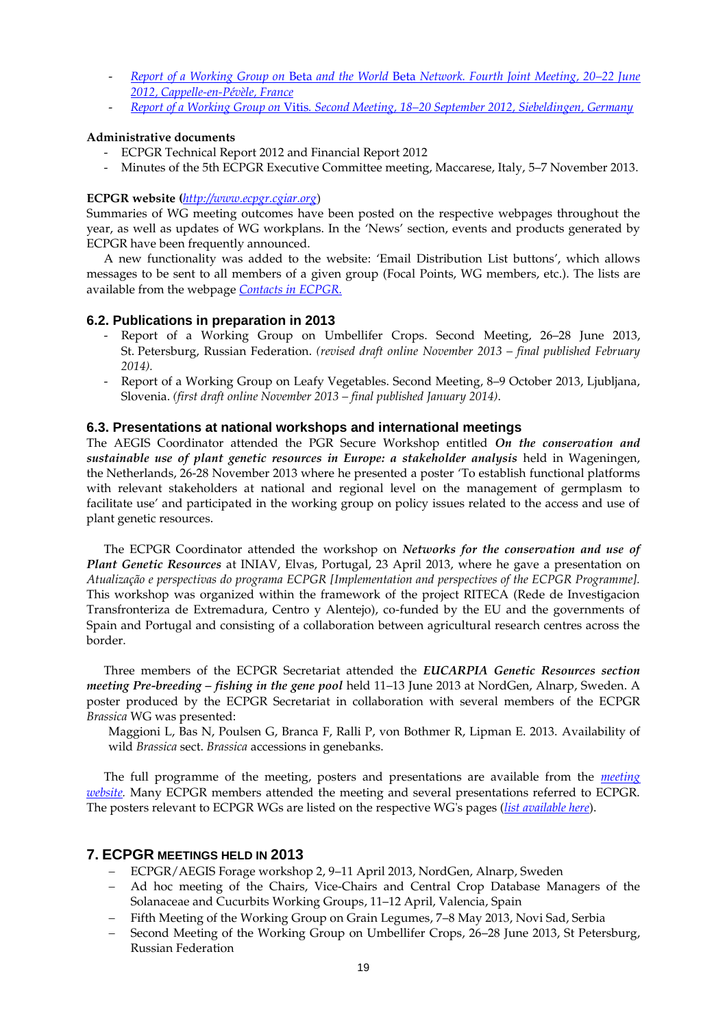- *Report of a Working Group on* Beta *and the World* Beta *[Network. Fourth Joint Meeting, 20](http://www.ecpgr.cgiar.org/publications/publication/issue/report_of_a_working_group_on_embeta_emand_the_world_embeta_emnetwork.html)–22 June [2012, Cappelle-en-Pévèle, France](http://www.ecpgr.cgiar.org/publications/publication/issue/report_of_a_working_group_on_embeta_emand_the_world_embeta_emnetwork.html)*
- *Report of a Working Group on* Vitis*. Second Meeting, 18–[20 September 2012, Siebeldingen, Germany](http://www.ecpgr.cgiar.org/publications/publication/issue/report_of_a_working_group_on_emvitisem.html)*

### **Administrative documents**

- ECPGR Technical Report 2012 and Financial Report 2012
- Minutes of the 5th ECPGR Executive Committee meeting, Maccarese, Italy, 5–7 November 2013.

## **ECPGR website (***[http://www.ecpgr.cgiar.org](http://www.ecpgr.cgiar.org/)*)

Summaries of WG meeting outcomes have been posted on the respective webpages throughout the year, as well as updates of WG workplans. In the 'News' section, events and products generated by ECPGR have been frequently announced.

A new functionality was added to the website: 'Email Distribution List buttons', which allows messages to be sent to all members of a given group (Focal Points, WG members, etc.). The lists are available from the webpage *[Contacts in ECPGR.](http://www.ecpgr.cgiar.org/contacts_in_ecpgr.html)*

## **6.2. Publications in preparation in 2013**

- Report of a Working Group on Umbellifer Crops. Second Meeting, 26–28 June 2013, St. Petersburg, Russian Federation. *(revised draft online November 2013 – final published February 2014).*
- Report of a Working Group on Leafy Vegetables. Second Meeting, 8-9 October 2013, Ljubljana, Slovenia. *(first draft online November 2013 – final published January 2014)*.

## **6.3. Presentations at national workshops and international meetings**

The AEGIS Coordinator attended the PGR Secure Workshop entitled *On the conservation and sustainable use of plant genetic resources in Europe: a stakeholder analysis* held in Wageningen, the Netherlands, 26-28 November 2013 where he presented a poster 'To establish functional platforms with relevant stakeholders at national and regional level on the management of germplasm to facilitate use' and participated in the working group on policy issues related to the access and use of plant genetic resources.

The ECPGR Coordinator attended the workshop on *Networks for the conservation and use of Plant Genetic Resources* at INIAV, Elvas, Portugal, 23 April 2013, where he gave a presentation on *Atualização e perspectivas do programa ECPGR [Implementation and perspectives of the ECPGR Programme].* This workshop was organized within the framework of the project RITECA (Rede de Investigacion Transfronteriza de Extremadura, Centro y Alentejo), co-funded by the EU and the governments of Spain and Portugal and consisting of a collaboration between agricultural research centres across the border.

Three members of the ECPGR Secretariat attended the *EUCARPIA Genetic Resources section meeting Pre-breeding – fishing in the gene pool* held 11–13 June 2013 at NordGen, Alnarp, Sweden. A poster produced by the ECPGR Secretariat in collaboration with several members of the ECPGR *Brassica* WG was presented:

Maggioni L, Bas N, Poulsen G, Branca F, Ralli P, von Bothmer R, Lipman E. 2013. Availability of wild *Brassica* sect. *Brassica* accessions in genebanks.

The full programme of the meeting, posters and presentations are available from the *[meeting](http://epgrc2013.nordgen.org/)  [website.](http://epgrc2013.nordgen.org/)* Many ECPGR members attended the meeting and several presentations referred to ECPGR. The posters relevant to ECPGR WGs are listed on the respective WG's pages (*[list available here](http://www.ecpgr.cgiar.org/news_area/eucarpia_genetic_resources_section_meeting.html)*).

## **7. ECPGR MEETINGS HELD IN 2013**

- ECPGR/AEGIS Forage workshop 2, 9–11 April 2013, NordGen, Alnarp, Sweden
- Ad hoc meeting of the Chairs, Vice-Chairs and Central Crop Database Managers of the [Solanaceae and Cucurbits Working Groups,](http://www.ecpgr.cgiar.org/meetings/details.html?tx_wfqbe_pi1%5buid%5d=192) 11–12 April, Valencia, Spain
- Fifth Meeting of the Working Group on Grain Legumes, 7–8 May 2013, Novi Sad, Serbia
- Second Meeting of the Working Group on Umbellifer Crops, 26–28 June 2013, St Petersburg, Russian Federation